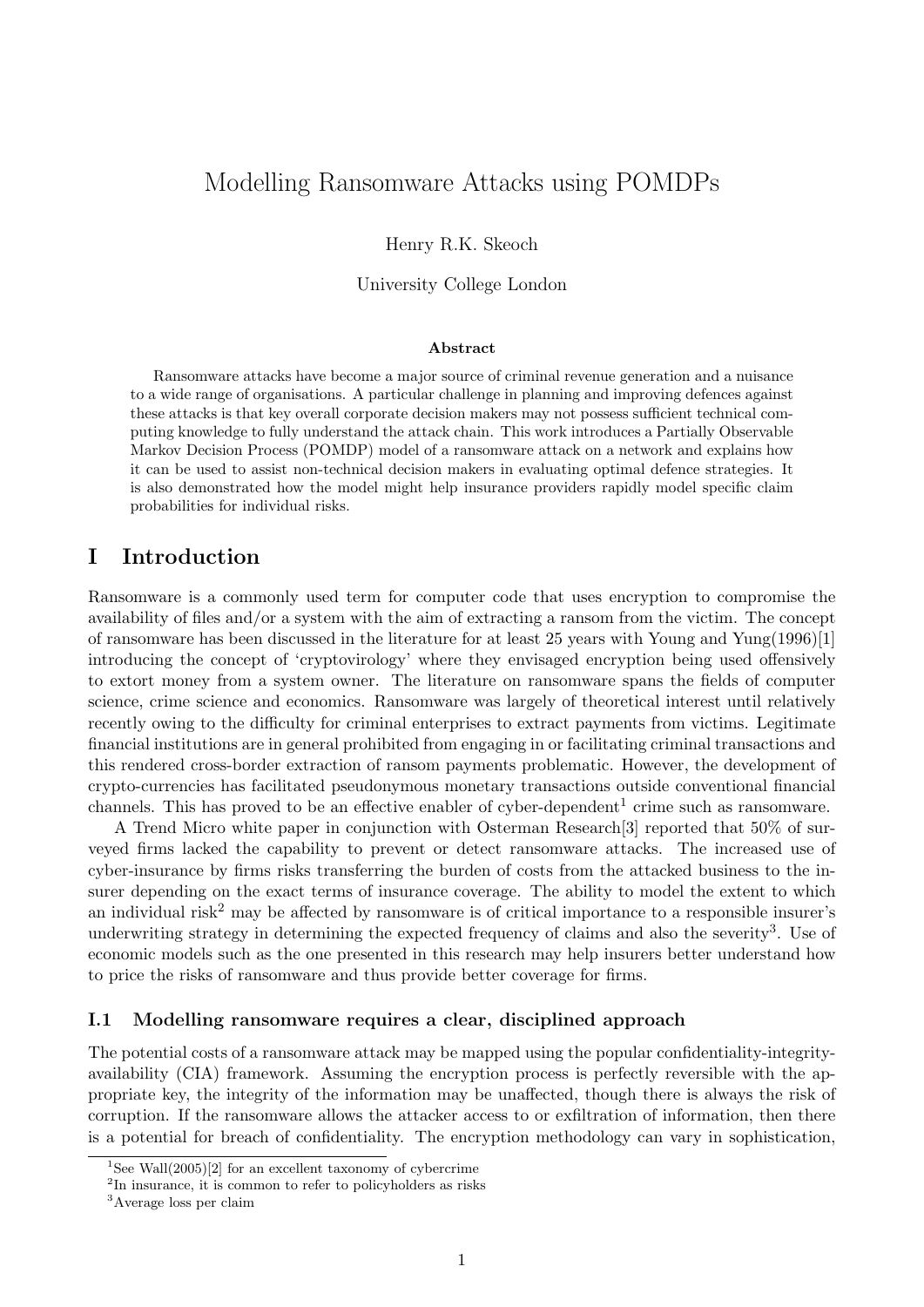# Modelling Ransomware Attacks using POMDPs

Henry R.K. Skeoch

University College London

#### Abstract

Ransomware attacks have become a major source of criminal revenue generation and a nuisance to a wide range of organisations. A particular challenge in planning and improving defences against these attacks is that key overall corporate decision makers may not possess sufficient technical computing knowledge to fully understand the attack chain. This work introduces a Partially Observable Markov Decision Process (POMDP) model of a ransomware attack on a network and explains how it can be used to assist non-technical decision makers in evaluating optimal defence strategies. It is also demonstrated how the model might help insurance providers rapidly model specific claim probabilities for individual risks.

## I Introduction

Ransomware is a commonly used term for computer code that uses encryption to compromise the availability of files and/or a system with the aim of extracting a ransom from the victim. The concept of ransomware has been discussed in the literature for at least 25 years with Young and Yung(1996)[1] introducing the concept of 'cryptovirology' where they envisaged encryption being used offensively to extort money from a system owner. The literature on ransomware spans the fields of computer science, crime science and economics. Ransomware was largely of theoretical interest until relatively recently owing to the difficulty for criminal enterprises to extract payments from victims. Legitimate financial institutions are in general prohibited from engaging in or facilitating criminal transactions and this rendered cross-border extraction of ransom payments problematic. However, the development of crypto-currencies has facilitated pseudonymous monetary transactions outside conventional financial channels. This has proved to be an effective enabler of cyber-dependent<sup>1</sup> crime such as ransomware.

A Trend Micro white paper in conjunction with Osterman Research[3] reported that 50% of surveyed firms lacked the capability to prevent or detect ransomware attacks. The increased use of cyber-insurance by firms risks transferring the burden of costs from the attacked business to the insurer depending on the exact terms of insurance coverage. The ability to model the extent to which an individual risk<sup>2</sup> may be affected by ransomware is of critical importance to a responsible insurer's underwriting strategy in determining the expected frequency of claims and also the severity<sup>3</sup>. Use of economic models such as the one presented in this research may help insurers better understand how to price the risks of ransomware and thus provide better coverage for firms.

#### I.1 Modelling ransomware requires a clear, disciplined approach

The potential costs of a ransomware attack may be mapped using the popular confidentiality-integrityavailability (CIA) framework. Assuming the encryption process is perfectly reversible with the appropriate key, the integrity of the information may be unaffected, though there is always the risk of corruption. If the ransomware allows the attacker access to or exfiltration of information, then there is a potential for breach of confidentiality. The encryption methodology can vary in sophistication,

<sup>&</sup>lt;sup>1</sup>See Wall(2005)[2] for an excellent taxonomy of cybercrime

<sup>&</sup>lt;sup>2</sup>In insurance, it is common to refer to policyholders as risks

<sup>3</sup>Average loss per claim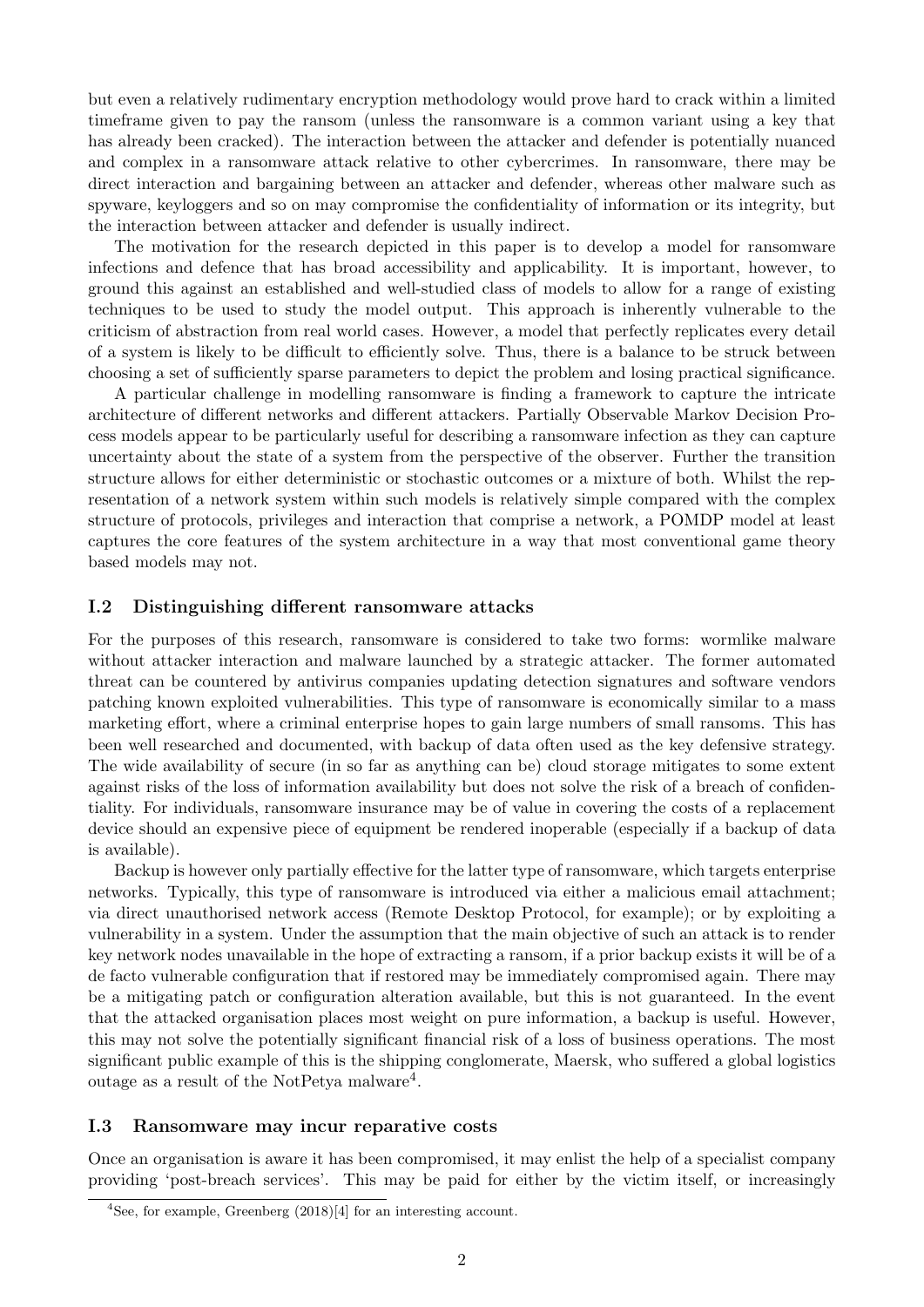but even a relatively rudimentary encryption methodology would prove hard to crack within a limited timeframe given to pay the ransom (unless the ransomware is a common variant using a key that has already been cracked). The interaction between the attacker and defender is potentially nuanced and complex in a ransomware attack relative to other cybercrimes. In ransomware, there may be direct interaction and bargaining between an attacker and defender, whereas other malware such as spyware, keyloggers and so on may compromise the confidentiality of information or its integrity, but the interaction between attacker and defender is usually indirect.

The motivation for the research depicted in this paper is to develop a model for ransomware infections and defence that has broad accessibility and applicability. It is important, however, to ground this against an established and well-studied class of models to allow for a range of existing techniques to be used to study the model output. This approach is inherently vulnerable to the criticism of abstraction from real world cases. However, a model that perfectly replicates every detail of a system is likely to be difficult to efficiently solve. Thus, there is a balance to be struck between choosing a set of sufficiently sparse parameters to depict the problem and losing practical significance.

A particular challenge in modelling ransomware is finding a framework to capture the intricate architecture of different networks and different attackers. Partially Observable Markov Decision Process models appear to be particularly useful for describing a ransomware infection as they can capture uncertainty about the state of a system from the perspective of the observer. Further the transition structure allows for either deterministic or stochastic outcomes or a mixture of both. Whilst the representation of a network system within such models is relatively simple compared with the complex structure of protocols, privileges and interaction that comprise a network, a POMDP model at least captures the core features of the system architecture in a way that most conventional game theory based models may not.

### I.2 Distinguishing different ransomware attacks

For the purposes of this research, ransomware is considered to take two forms: wormlike malware without attacker interaction and malware launched by a strategic attacker. The former automated threat can be countered by antivirus companies updating detection signatures and software vendors patching known exploited vulnerabilities. This type of ransomware is economically similar to a mass marketing effort, where a criminal enterprise hopes to gain large numbers of small ransoms. This has been well researched and documented, with backup of data often used as the key defensive strategy. The wide availability of secure (in so far as anything can be) cloud storage mitigates to some extent against risks of the loss of information availability but does not solve the risk of a breach of confidentiality. For individuals, ransomware insurance may be of value in covering the costs of a replacement device should an expensive piece of equipment be rendered inoperable (especially if a backup of data is available).

Backup is however only partially effective for the latter type of ransomware, which targets enterprise networks. Typically, this type of ransomware is introduced via either a malicious email attachment; via direct unauthorised network access (Remote Desktop Protocol, for example); or by exploiting a vulnerability in a system. Under the assumption that the main objective of such an attack is to render key network nodes unavailable in the hope of extracting a ransom, if a prior backup exists it will be of a de facto vulnerable configuration that if restored may be immediately compromised again. There may be a mitigating patch or configuration alteration available, but this is not guaranteed. In the event that the attacked organisation places most weight on pure information, a backup is useful. However, this may not solve the potentially significant financial risk of a loss of business operations. The most significant public example of this is the shipping conglomerate, Maersk, who suffered a global logistics outage as a result of the NotPetya malware<sup>4</sup>.

#### I.3 Ransomware may incur reparative costs

Once an organisation is aware it has been compromised, it may enlist the help of a specialist company providing 'post-breach services'. This may be paid for either by the victim itself, or increasingly

<sup>4</sup>See, for example, Greenberg (2018)[4] for an interesting account.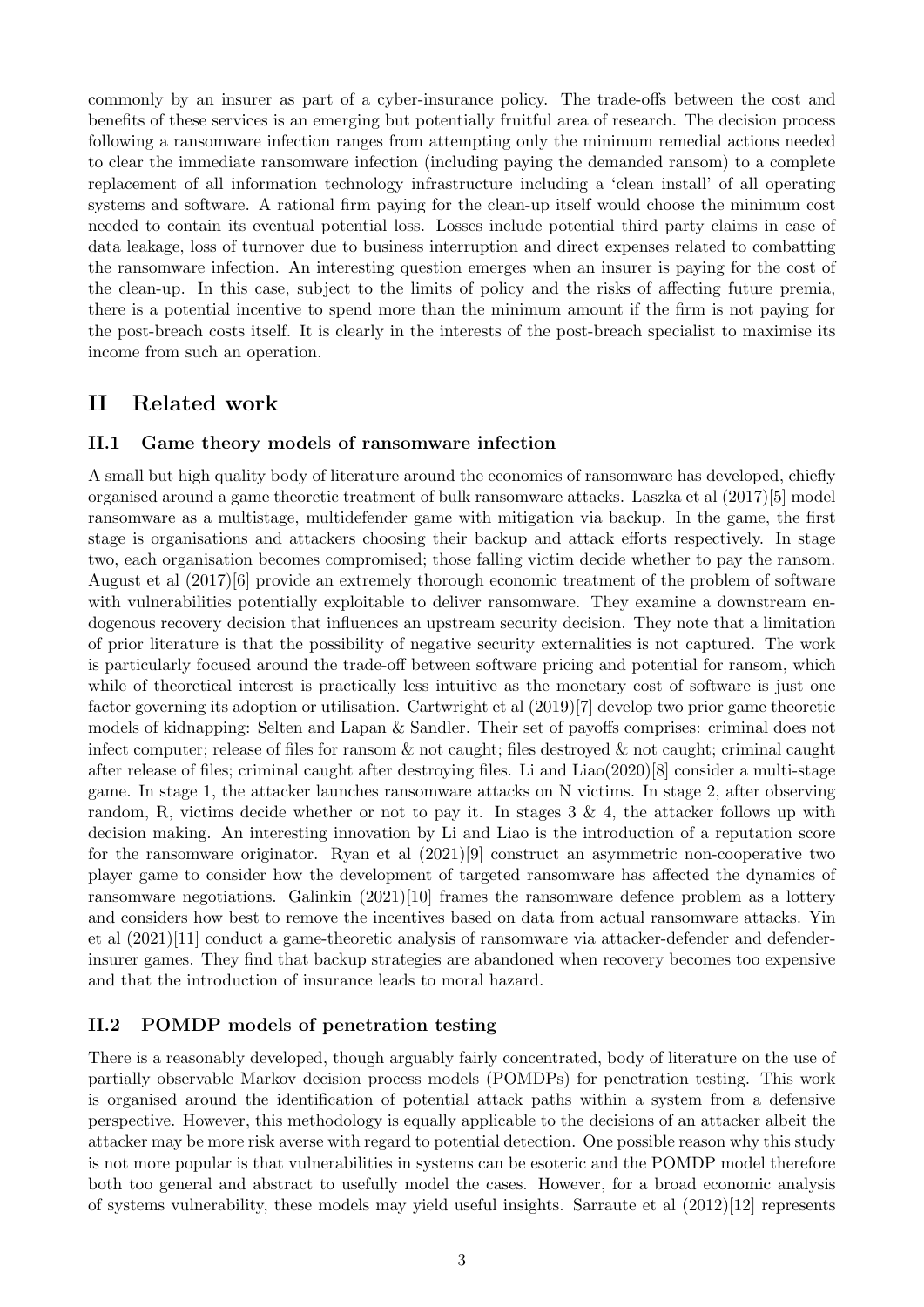commonly by an insurer as part of a cyber-insurance policy. The trade-offs between the cost and benefits of these services is an emerging but potentially fruitful area of research. The decision process following a ransomware infection ranges from attempting only the minimum remedial actions needed to clear the immediate ransomware infection (including paying the demanded ransom) to a complete replacement of all information technology infrastructure including a 'clean install' of all operating systems and software. A rational firm paying for the clean-up itself would choose the minimum cost needed to contain its eventual potential loss. Losses include potential third party claims in case of data leakage, loss of turnover due to business interruption and direct expenses related to combatting the ransomware infection. An interesting question emerges when an insurer is paying for the cost of the clean-up. In this case, subject to the limits of policy and the risks of affecting future premia, there is a potential incentive to spend more than the minimum amount if the firm is not paying for the post-breach costs itself. It is clearly in the interests of the post-breach specialist to maximise its income from such an operation.

## II Related work

### II.1 Game theory models of ransomware infection

A small but high quality body of literature around the economics of ransomware has developed, chiefly organised around a game theoretic treatment of bulk ransomware attacks. Laszka et al (2017)[5] model ransomware as a multistage, multidefender game with mitigation via backup. In the game, the first stage is organisations and attackers choosing their backup and attack efforts respectively. In stage two, each organisation becomes compromised; those falling victim decide whether to pay the ransom. August et al (2017)[6] provide an extremely thorough economic treatment of the problem of software with vulnerabilities potentially exploitable to deliver ransomware. They examine a downstream endogenous recovery decision that influences an upstream security decision. They note that a limitation of prior literature is that the possibility of negative security externalities is not captured. The work is particularly focused around the trade-off between software pricing and potential for ransom, which while of theoretical interest is practically less intuitive as the monetary cost of software is just one factor governing its adoption or utilisation. Cartwright et al (2019)[7] develop two prior game theoretic models of kidnapping: Selten and Lapan & Sandler. Their set of payoffs comprises: criminal does not infect computer; release of files for ransom  $\&$  not caught; files destroyed  $\&$  not caught; criminal caught after release of files; criminal caught after destroying files. Li and Liao(2020)[8] consider a multi-stage game. In stage 1, the attacker launches ransomware attacks on N victims. In stage 2, after observing random, R, victims decide whether or not to pay it. In stages  $3 \& 4$ , the attacker follows up with decision making. An interesting innovation by Li and Liao is the introduction of a reputation score for the ransomware originator. Ryan et al (2021)[9] construct an asymmetric non-cooperative two player game to consider how the development of targeted ransomware has affected the dynamics of ransomware negotiations. Galinkin  $(2021)[10]$  frames the ransomware defence problem as a lottery and considers how best to remove the incentives based on data from actual ransomware attacks. Yin et al (2021)[11] conduct a game-theoretic analysis of ransomware via attacker-defender and defenderinsurer games. They find that backup strategies are abandoned when recovery becomes too expensive and that the introduction of insurance leads to moral hazard.

### II.2 POMDP models of penetration testing

There is a reasonably developed, though arguably fairly concentrated, body of literature on the use of partially observable Markov decision process models (POMDPs) for penetration testing. This work is organised around the identification of potential attack paths within a system from a defensive perspective. However, this methodology is equally applicable to the decisions of an attacker albeit the attacker may be more risk averse with regard to potential detection. One possible reason why this study is not more popular is that vulnerabilities in systems can be esoteric and the POMDP model therefore both too general and abstract to usefully model the cases. However, for a broad economic analysis of systems vulnerability, these models may yield useful insights. Sarraute et al (2012)[12] represents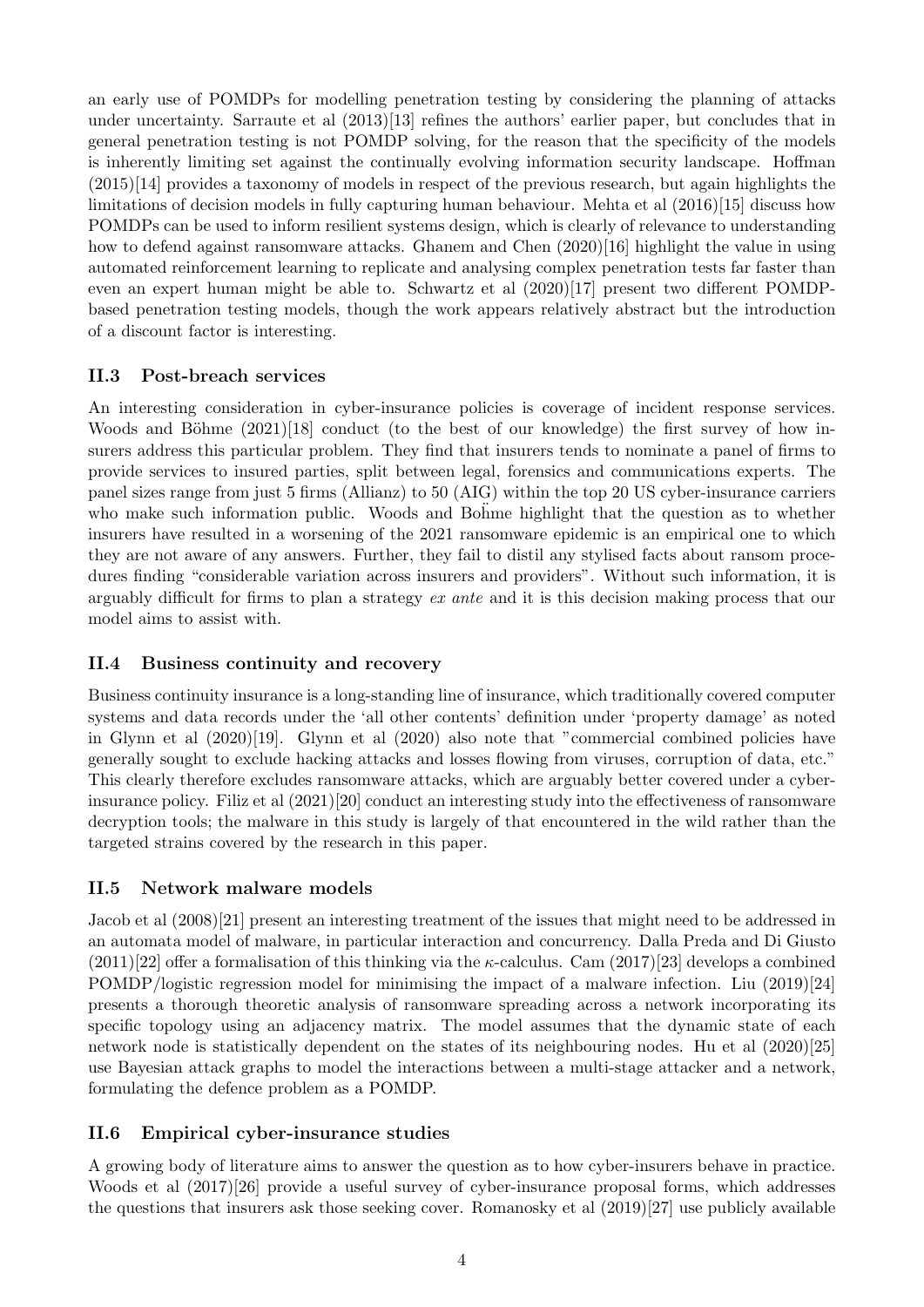an early use of POMDPs for modelling penetration testing by considering the planning of attacks under uncertainty. Sarraute et al (2013)[13] refines the authors' earlier paper, but concludes that in general penetration testing is not POMDP solving, for the reason that the specificity of the models is inherently limiting set against the continually evolving information security landscape. Hoffman (2015)[14] provides a taxonomy of models in respect of the previous research, but again highlights the limitations of decision models in fully capturing human behaviour. Mehta et al (2016)[15] discuss how POMDPs can be used to inform resilient systems design, which is clearly of relevance to understanding how to defend against ransomware attacks. Ghanem and Chen  $(2020)[16]$  highlight the value in using automated reinforcement learning to replicate and analysing complex penetration tests far faster than even an expert human might be able to. Schwartz et al (2020)[17] present two different POMDPbased penetration testing models, though the work appears relatively abstract but the introduction of a discount factor is interesting.

### II.3 Post-breach services

An interesting consideration in cyber-insurance policies is coverage of incident response services. Woods and Böhme  $(2021)[18]$  conduct (to the best of our knowledge) the first survey of how insurers address this particular problem. They find that insurers tends to nominate a panel of firms to provide services to insured parties, split between legal, forensics and communications experts. The panel sizes range from just 5 firms (Allianz) to 50 (AIG) within the top 20 US cyber-insurance carriers who make such information public. Woods and Bohme highlight that the question as to whether insurers have resulted in a worsening of the 2021 ransomware epidemic is an empirical one to which they are not aware of any answers. Further, they fail to distil any stylised facts about ransom procedures finding "considerable variation across insurers and providers". Without such information, it is arguably difficult for firms to plan a strategy ex ante and it is this decision making process that our model aims to assist with.

### II.4 Business continuity and recovery

Business continuity insurance is a long-standing line of insurance, which traditionally covered computer systems and data records under the 'all other contents' definition under 'property damage' as noted in Glynn et al (2020)[19]. Glynn et al (2020) also note that "commercial combined policies have generally sought to exclude hacking attacks and losses flowing from viruses, corruption of data, etc." This clearly therefore excludes ransomware attacks, which are arguably better covered under a cyberinsurance policy. Filiz et al (2021)[20] conduct an interesting study into the effectiveness of ransomware decryption tools; the malware in this study is largely of that encountered in the wild rather than the targeted strains covered by the research in this paper.

### II.5 Network malware models

Jacob et al (2008)[21] present an interesting treatment of the issues that might need to be addressed in an automata model of malware, in particular interaction and concurrency. Dalla Preda and Di Giusto  $(2011)[22]$  offer a formalisation of this thinking via the *κ*-calculus. Cam  $(2017)[23]$  develops a combined POMDP/logistic regression model for minimising the impact of a malware infection. Liu (2019)[24] presents a thorough theoretic analysis of ransomware spreading across a network incorporating its specific topology using an adjacency matrix. The model assumes that the dynamic state of each network node is statistically dependent on the states of its neighbouring nodes. Hu et al (2020)[25] use Bayesian attack graphs to model the interactions between a multi-stage attacker and a network, formulating the defence problem as a POMDP.

## II.6 Empirical cyber-insurance studies

A growing body of literature aims to answer the question as to how cyber-insurers behave in practice. Woods et al (2017)[26] provide a useful survey of cyber-insurance proposal forms, which addresses the questions that insurers ask those seeking cover. Romanosky et al (2019)[27] use publicly available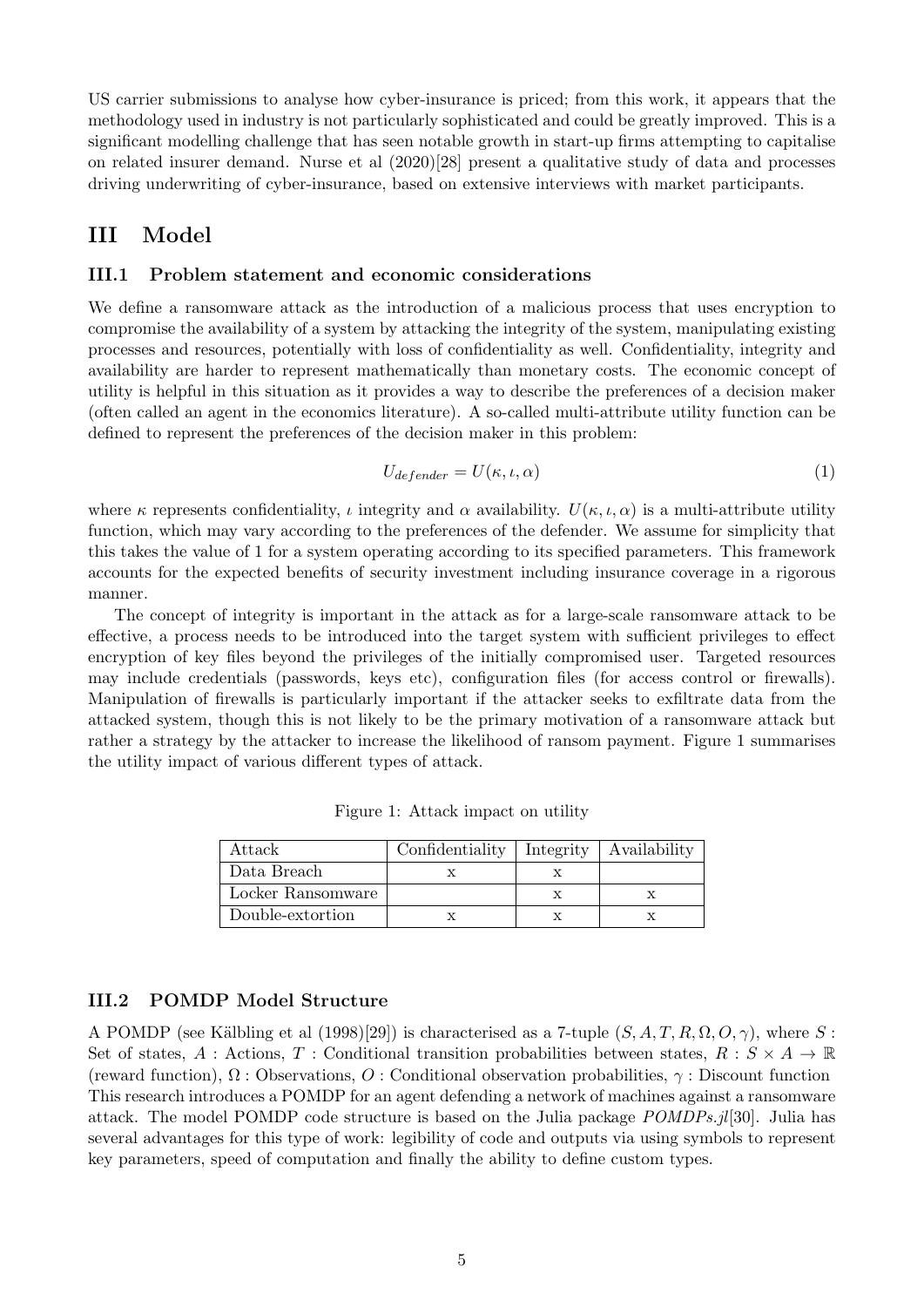US carrier submissions to analyse how cyber-insurance is priced; from this work, it appears that the methodology used in industry is not particularly sophisticated and could be greatly improved. This is a significant modelling challenge that has seen notable growth in start-up firms attempting to capitalise on related insurer demand. Nurse et al (2020)[28] present a qualitative study of data and processes driving underwriting of cyber-insurance, based on extensive interviews with market participants.

## III Model

#### III.1 Problem statement and economic considerations

We define a ransomware attack as the introduction of a malicious process that uses encryption to compromise the availability of a system by attacking the integrity of the system, manipulating existing processes and resources, potentially with loss of confidentiality as well. Confidentiality, integrity and availability are harder to represent mathematically than monetary costs. The economic concept of utility is helpful in this situation as it provides a way to describe the preferences of a decision maker (often called an agent in the economics literature). A so-called multi-attribute utility function can be defined to represent the preferences of the decision maker in this problem:

$$
U_{defender} = U(\kappa, \iota, \alpha) \tag{1}
$$

where  $\kappa$  represents confidentiality,  $\iota$  integrity and  $\alpha$  availability.  $U(\kappa, \iota, \alpha)$  is a multi-attribute utility function, which may vary according to the preferences of the defender. We assume for simplicity that this takes the value of 1 for a system operating according to its specified parameters. This framework accounts for the expected benefits of security investment including insurance coverage in a rigorous manner.

The concept of integrity is important in the attack as for a large-scale ransomware attack to be effective, a process needs to be introduced into the target system with sufficient privileges to effect encryption of key files beyond the privileges of the initially compromised user. Targeted resources may include credentials (passwords, keys etc), configuration files (for access control or firewalls). Manipulation of firewalls is particularly important if the attacker seeks to exfiltrate data from the attacked system, though this is not likely to be the primary motivation of a ransomware attack but rather a strategy by the attacker to increase the likelihood of ransom payment. Figure 1 summarises the utility impact of various different types of attack.

| Attack            | Confidentiality   Integrity   Availability |  |
|-------------------|--------------------------------------------|--|
| Data Breach       |                                            |  |
| Locker Ransomware |                                            |  |
| Double-extortion  |                                            |  |

Figure 1: Attack impact on utility

### III.2 POMDP Model Structure

A POMDP (see Kälbling et al (1998)[29]) is characterised as a 7-tuple  $(S, A, T, R, \Omega, O, \gamma)$ , where S: Set of states, A : Actions, T : Conditional transition probabilities between states,  $R : S \times A \rightarrow \mathbb{R}$ (reward function),  $\Omega$ : Observations, O: Conditional observation probabilities,  $\gamma$ : Discount function This research introduces a POMDP for an agent defending a network of machines against a ransomware attack. The model POMDP code structure is based on the Julia package POMDPs.jl[30]. Julia has several advantages for this type of work: legibility of code and outputs via using symbols to represent key parameters, speed of computation and finally the ability to define custom types.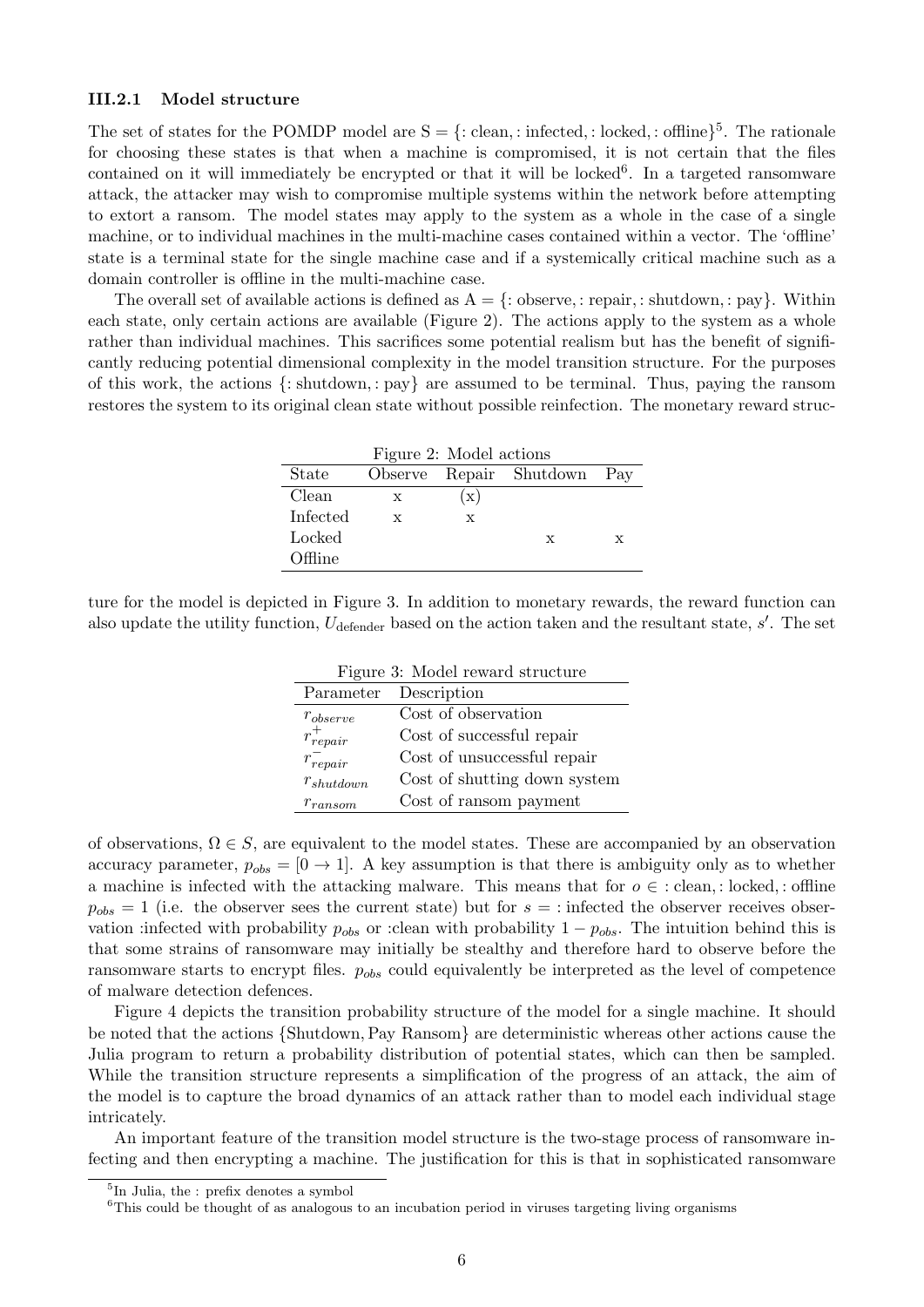#### III.2.1 Model structure

The set of states for the POMDP model are  $S = \{ : \text{clean}, : \text{infected}, : \text{locked}, : \text{offline} \}$ <sup>5</sup>. The rationale for choosing these states is that when a machine is compromised, it is not certain that the files contained on it will immediately be encrypted or that it will be locked<sup>6</sup>. In a targeted ransomware attack, the attacker may wish to compromise multiple systems within the network before attempting to extort a ransom. The model states may apply to the system as a whole in the case of a single machine, or to individual machines in the multi-machine cases contained within a vector. The 'offline' state is a terminal state for the single machine case and if a systemically critical machine such as a domain controller is offline in the multi-machine case.

The overall set of available actions is defined as  $A = \{$ : observe, : repair, : shutdown, : pay $\}$ . Within each state, only certain actions are available (Figure 2). The actions apply to the system as a whole rather than individual machines. This sacrifices some potential realism but has the benefit of significantly reducing potential dimensional complexity in the model transition structure. For the purposes of this work, the actions {: shutdown, : pay} are assumed to be terminal. Thus, paying the ransom restores the system to its original clean state without possible reinfection. The monetary reward struc-

| Figure 2: Model actions |   |                |                             |   |  |
|-------------------------|---|----------------|-----------------------------|---|--|
| State                   |   |                | Observe Repair Shutdown Pay |   |  |
| Clean                   | X | $(\mathbf{x})$ |                             |   |  |
| Infected                | X | X              |                             |   |  |
| Locked                  |   |                | X                           | X |  |
| Offline                 |   |                |                             |   |  |

ture for the model is depicted in Figure 3. In addition to monetary rewards, the reward function can also update the utility function,  $U_{\text{defender}}$  based on the action taken and the resultant state,  $s'$ . The set

| Figure 3: Model reward structure |                              |  |  |  |
|----------------------------------|------------------------------|--|--|--|
|                                  | Parameter Description        |  |  |  |
| $r_{\text{observe}}$             | Cost of observation          |  |  |  |
| $r_{repair}^+$                   | Cost of successful repair    |  |  |  |
| $r_{repair}^-$                   | Cost of unsuccessful repair  |  |  |  |
| $r_{shutdown}$                   | Cost of shutting down system |  |  |  |
| $r_{ransom}$                     | Cost of ransom payment       |  |  |  |

of observations,  $\Omega \in S$ , are equivalent to the model states. These are accompanied by an observation accuracy parameter,  $p_{obs} = [0 \rightarrow 1]$ . A key assumption is that there is ambiguity only as to whether a machine is infected with the attacking malware. This means that for  $o \in \text{clean}$ , : locked, : offline  $p_{obs} = 1$  (i.e. the observer sees the current state) but for  $s = 1$  infected the observer receives observation :infected with probability  $p_{obs}$  or :clean with probability  $1 - p_{obs}$ . The intuition behind this is that some strains of ransomware may initially be stealthy and therefore hard to observe before the ransomware starts to encrypt files.  $p_{obs}$  could equivalently be interpreted as the level of competence of malware detection defences.

Figure 4 depicts the transition probability structure of the model for a single machine. It should be noted that the actions {Shutdown,Pay Ransom} are deterministic whereas other actions cause the Julia program to return a probability distribution of potential states, which can then be sampled. While the transition structure represents a simplification of the progress of an attack, the aim of the model is to capture the broad dynamics of an attack rather than to model each individual stage intricately.

An important feature of the transition model structure is the two-stage process of ransomware infecting and then encrypting a machine. The justification for this is that in sophisticated ransomware

<sup>5</sup> In Julia, the : prefix denotes a symbol

<sup>&</sup>lt;sup>6</sup>This could be thought of as analogous to an incubation period in viruses targeting living organisms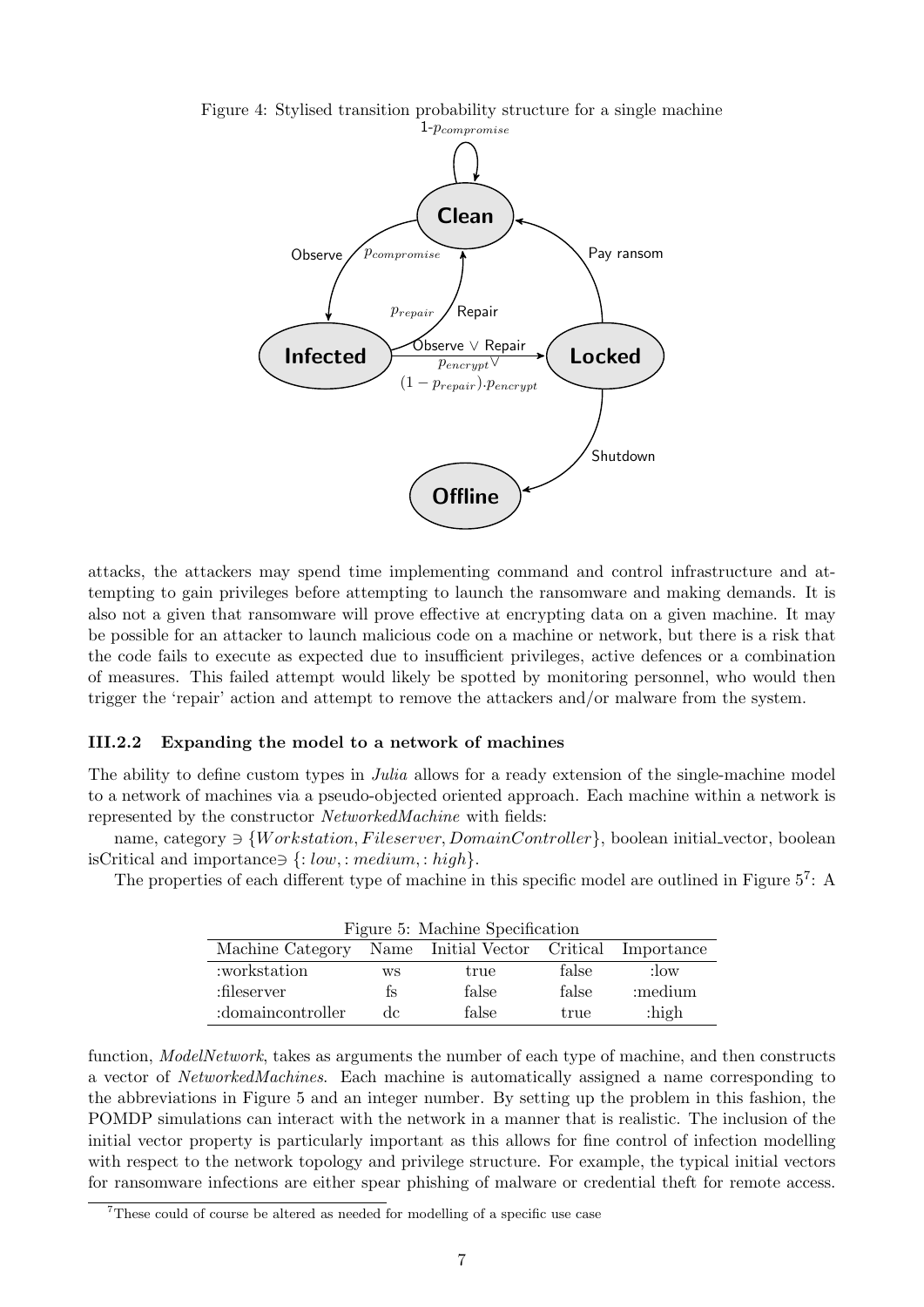

Figure 4: Stylised transition probability structure for a single machine

attacks, the attackers may spend time implementing command and control infrastructure and attempting to gain privileges before attempting to launch the ransomware and making demands. It is also not a given that ransomware will prove effective at encrypting data on a given machine. It may be possible for an attacker to launch malicious code on a machine or network, but there is a risk that the code fails to execute as expected due to insufficient privileges, active defences or a combination of measures. This failed attempt would likely be spotted by monitoring personnel, who would then trigger the 'repair' action and attempt to remove the attackers and/or malware from the system.

#### III.2.2 Expanding the model to a network of machines

The ability to define custom types in *Julia* allows for a ready extension of the single-machine model to a network of machines via a pseudo-objected oriented approach. Each machine within a network is represented by the constructor NetworkedMachine with fields:

name, category  $\exists \{Workstation, Fileserver, DomainController\}$ , boolean initial vector, boolean isCritical and importance∋  ${:} low, : medium, : high$ .

The properties of each different type of machine in this specific model are outlined in Figure  $5^7$ : A

| Figure 5: Machine Specification                          |    |       |       |          |  |
|----------------------------------------------------------|----|-------|-------|----------|--|
| Machine Category Name Initial Vector Critical Importance |    |       |       |          |  |
| :workstation                                             | WS | true  | false | : $\log$ |  |
| :fileserver                                              | ŤS | false | false | :medium  |  |
| :domaincontroller                                        | de | false | true  | $:$ high |  |

function, ModelNetwork, takes as arguments the number of each type of machine, and then constructs a vector of NetworkedMachines. Each machine is automatically assigned a name corresponding to the abbreviations in Figure 5 and an integer number. By setting up the problem in this fashion, the POMDP simulations can interact with the network in a manner that is realistic. The inclusion of the initial vector property is particularly important as this allows for fine control of infection modelling with respect to the network topology and privilege structure. For example, the typical initial vectors for ransomware infections are either spear phishing of malware or credential theft for remote access.

<sup>7</sup>These could of course be altered as needed for modelling of a specific use case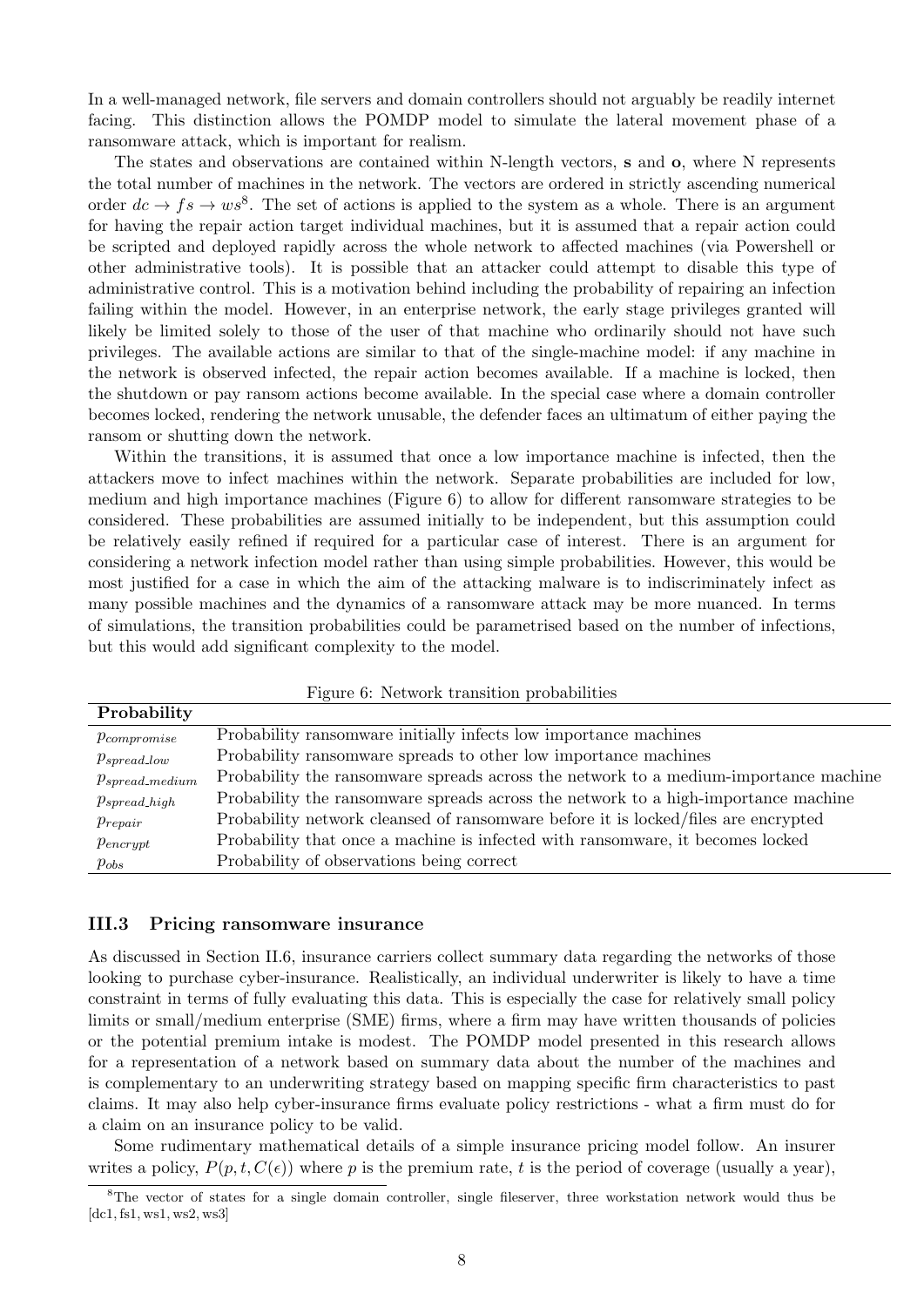In a well-managed network, file servers and domain controllers should not arguably be readily internet facing. This distinction allows the POMDP model to simulate the lateral movement phase of a ransomware attack, which is important for realism.

The states and observations are contained within N-length vectors, s and o, where N represents the total number of machines in the network. The vectors are ordered in strictly ascending numerical order  $dc \rightarrow fs \rightarrow ws^8$ . The set of actions is applied to the system as a whole. There is an argument for having the repair action target individual machines, but it is assumed that a repair action could be scripted and deployed rapidly across the whole network to affected machines (via Powershell or other administrative tools). It is possible that an attacker could attempt to disable this type of administrative control. This is a motivation behind including the probability of repairing an infection failing within the model. However, in an enterprise network, the early stage privileges granted will likely be limited solely to those of the user of that machine who ordinarily should not have such privileges. The available actions are similar to that of the single-machine model: if any machine in the network is observed infected, the repair action becomes available. If a machine is locked, then the shutdown or pay ransom actions become available. In the special case where a domain controller becomes locked, rendering the network unusable, the defender faces an ultimatum of either paying the ransom or shutting down the network.

Within the transitions, it is assumed that once a low importance machine is infected, then the attackers move to infect machines within the network. Separate probabilities are included for low, medium and high importance machines (Figure 6) to allow for different ransomware strategies to be considered. These probabilities are assumed initially to be independent, but this assumption could be relatively easily refined if required for a particular case of interest. There is an argument for considering a network infection model rather than using simple probabilities. However, this would be most justified for a case in which the aim of the attacking malware is to indiscriminately infect as many possible machines and the dynamics of a ransomware attack may be more nuanced. In terms of simulations, the transition probabilities could be parametrised based on the number of infections, but this would add significant complexity to the model.

|                      | 1 igure 0. Treawork aramstalon probabilities                                          |
|----------------------|---------------------------------------------------------------------------------------|
| Probability          |                                                                                       |
| $p_{compromise}$     | Probability ransomware initially infects low importance machines                      |
| $p_{spread\_low}$    | Probability ransomware spreads to other low importance machines                       |
| $p_{spread\_medium}$ | Probability the ransom wave spreads across the network to a medium-importance machine |
| $p_{spread\_high}$   | Probability the ransom ware spreads across the network to a high-importance machine   |
| $p_{repair}$         | Probability network cleansed of ransomware before it is locked/files are encrypted    |
| $p_{\text{encrypt}}$ | Probability that once a machine is infected with ransomware, it becomes locked        |
| $p_{obs}$            | Probability of observations being correct                                             |
|                      |                                                                                       |

Figure 6: Network transition probabilities

#### III.3 Pricing ransomware insurance

As discussed in Section II.6, insurance carriers collect summary data regarding the networks of those looking to purchase cyber-insurance. Realistically, an individual underwriter is likely to have a time constraint in terms of fully evaluating this data. This is especially the case for relatively small policy limits or small/medium enterprise (SME) firms, where a firm may have written thousands of policies or the potential premium intake is modest. The POMDP model presented in this research allows for a representation of a network based on summary data about the number of the machines and is complementary to an underwriting strategy based on mapping specific firm characteristics to past claims. It may also help cyber-insurance firms evaluate policy restrictions - what a firm must do for a claim on an insurance policy to be valid.

Some rudimentary mathematical details of a simple insurance pricing model follow. An insurer writes a policy,  $P(p, t, C(\epsilon))$  where p is the premium rate, t is the period of coverage (usually a year),

<sup>&</sup>lt;sup>8</sup>The vector of states for a single domain controller, single fileserver, three workstation network would thus be  $[dc1, fs1, ws1, ws2, ws3]$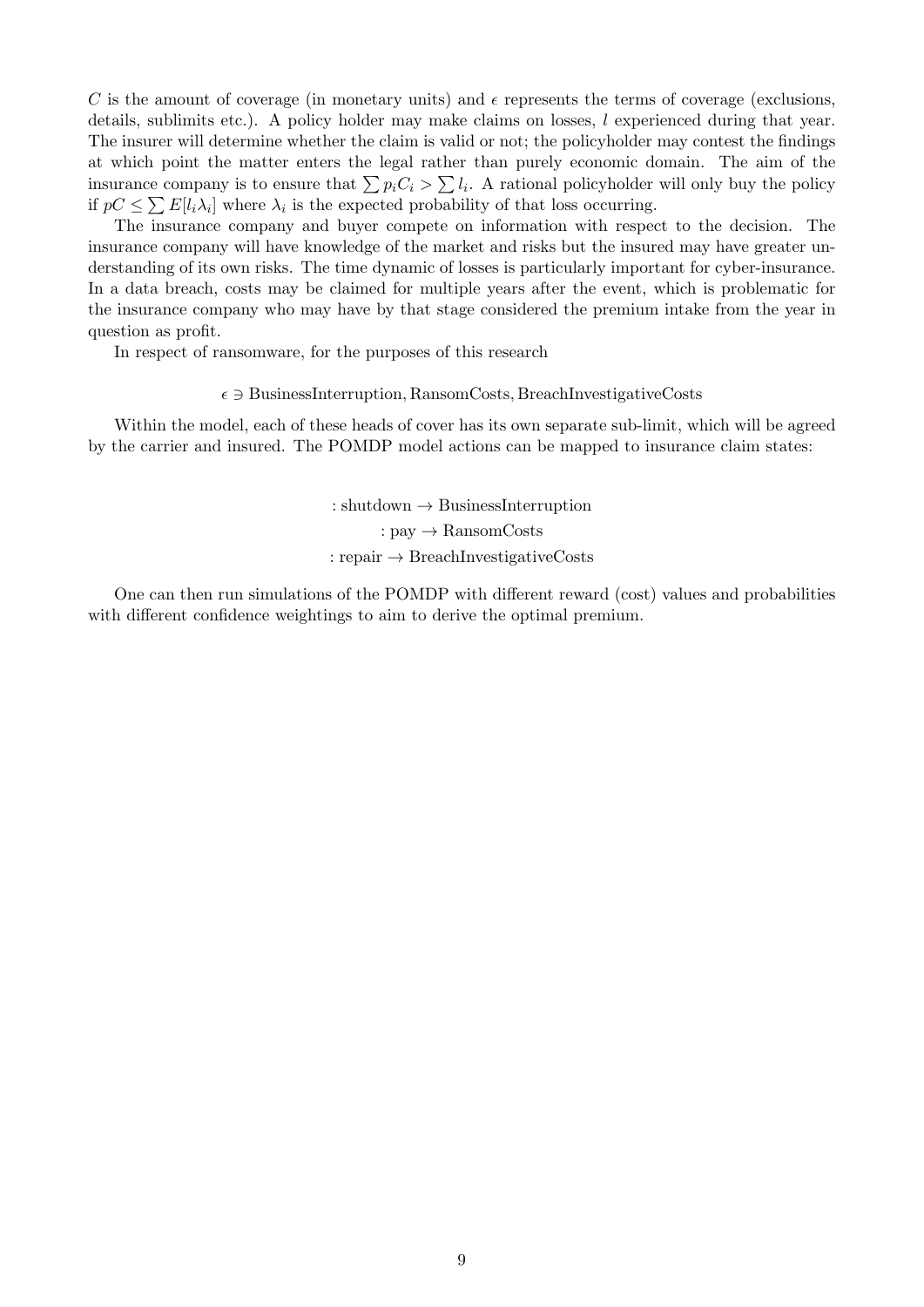C is the amount of coverage (in monetary units) and  $\epsilon$  represents the terms of coverage (exclusions, details, sublimits etc.). A policy holder may make claims on losses, l experienced during that year. The insurer will determine whether the claim is valid or not; the policyholder may contest the findings at which point the matter enters the legal rather than purely economic domain. The aim of the insurance company is to ensure that  $\sum p_i C_i > \sum l_i$ . A rational policyholder will only buy the policy if  $pC \leq \sum E[l_i \lambda_i]$  where  $\lambda_i$  is the expected probability of that loss occurring.

The insurance company and buyer compete on information with respect to the decision. The insurance company will have knowledge of the market and risks but the insured may have greater understanding of its own risks. The time dynamic of losses is particularly important for cyber-insurance. In a data breach, costs may be claimed for multiple years after the event, which is problematic for the insurance company who may have by that stage considered the premium intake from the year in question as profit.

In respect of ransomware, for the purposes of this research

#### $\epsilon \ni$  BusinessInterruption, RansomCosts, BreachInvestigativeCosts

Within the model, each of these heads of cover has its own separate sub-limit, which will be agreed by the carrier and insured. The POMDP model actions can be mapped to insurance claim states:

> $:$  shutdown  $\rightarrow$  BusinessInterruption :  $\text{pav} \rightarrow \text{RansomCosts}$ : repair  $\rightarrow$  BreachInvestigativeCosts

One can then run simulations of the POMDP with different reward (cost) values and probabilities with different confidence weightings to aim to derive the optimal premium.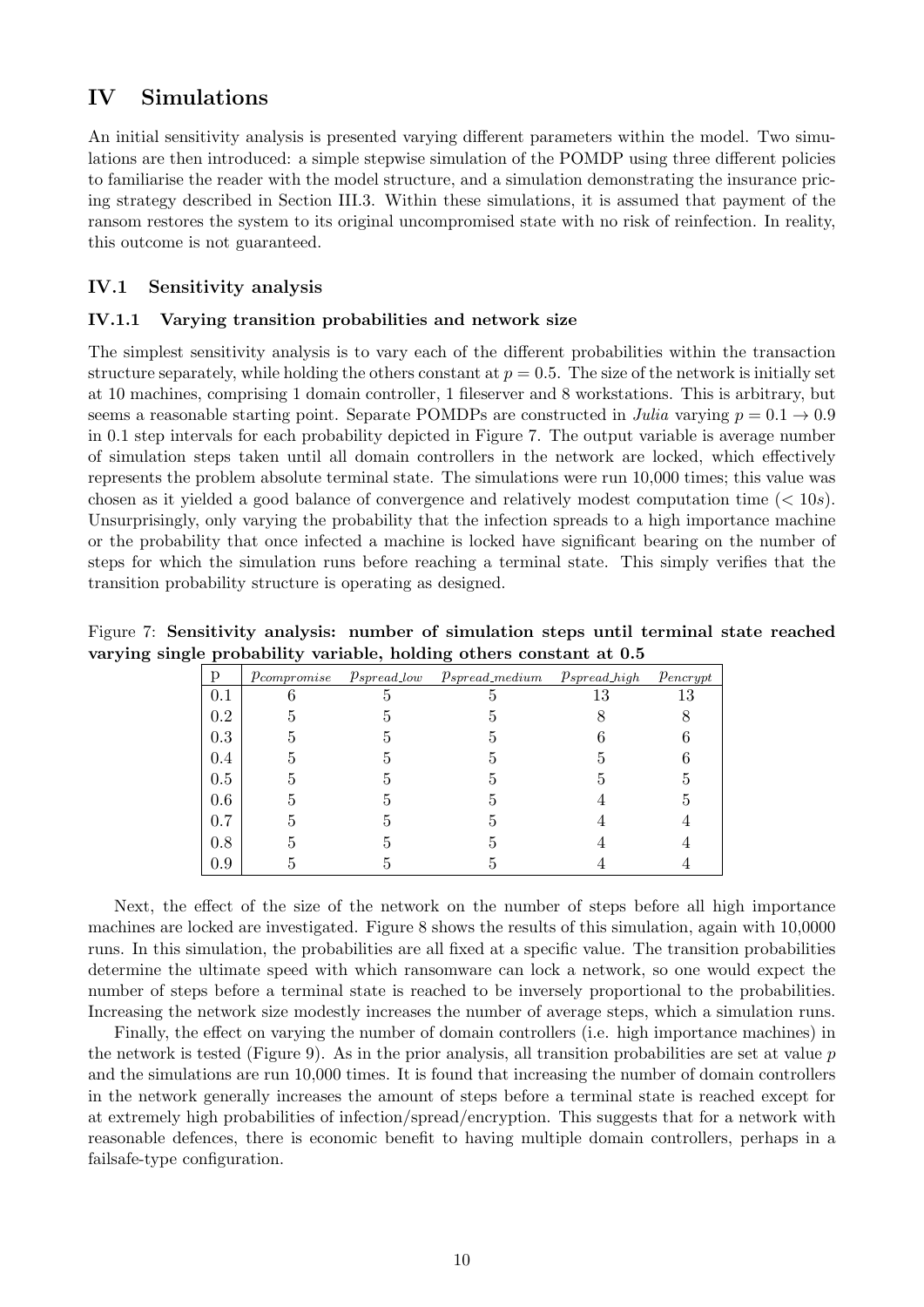## IV Simulations

An initial sensitivity analysis is presented varying different parameters within the model. Two simulations are then introduced: a simple stepwise simulation of the POMDP using three different policies to familiarise the reader with the model structure, and a simulation demonstrating the insurance pricing strategy described in Section III.3. Within these simulations, it is assumed that payment of the ransom restores the system to its original uncompromised state with no risk of reinfection. In reality, this outcome is not guaranteed.

### IV.1 Sensitivity analysis

#### IV.1.1 Varying transition probabilities and network size

The simplest sensitivity analysis is to vary each of the different probabilities within the transaction structure separately, while holding the others constant at  $p = 0.5$ . The size of the network is initially set at 10 machines, comprising 1 domain controller, 1 fileserver and 8 workstations. This is arbitrary, but seems a reasonable starting point. Separate POMDPs are constructed in Julia varying  $p = 0.1 \rightarrow 0.9$ in 0.1 step intervals for each probability depicted in Figure 7. The output variable is average number of simulation steps taken until all domain controllers in the network are locked, which effectively represents the problem absolute terminal state. The simulations were run 10,000 times; this value was chosen as it yielded a good balance of convergence and relatively modest computation time  $(< 10s$ ). Unsurprisingly, only varying the probability that the infection spreads to a high importance machine or the probability that once infected a machine is locked have significant bearing on the number of steps for which the simulation runs before reaching a terminal state. This simply verifies that the transition probability structure is operating as designed.

|  |  | Figure 7: Sensitivity analysis: number of simulation steps until terminal state reached |  |  |  |
|--|--|-----------------------------------------------------------------------------------------|--|--|--|
|  |  | varying single probability variable, holding others constant at 0.5                     |  |  |  |

| р       | $p_{compromise}$ | $p_{spread\_low}$ | $p_{spread\_medium}$ | $p_{spread\_high}$ | $p_{\text{encrypt}}$ |
|---------|------------------|-------------------|----------------------|--------------------|----------------------|
| 0.1     |                  |                   |                      | 13                 | 13                   |
| $0.2\,$ |                  |                   |                      |                    |                      |
| 0.3     |                  |                   |                      |                    |                      |
| 0.4     |                  |                   |                      |                    |                      |
| 0.5     |                  |                   |                      |                    |                      |
| 0.6     |                  |                   |                      |                    | h                    |
| 0.7     |                  |                   |                      |                    |                      |
| 0.8     |                  |                   |                      |                    |                      |
| 0.9     |                  |                   |                      |                    |                      |

Next, the effect of the size of the network on the number of steps before all high importance machines are locked are investigated. Figure 8 shows the results of this simulation, again with 10,0000 runs. In this simulation, the probabilities are all fixed at a specific value. The transition probabilities determine the ultimate speed with which ransomware can lock a network, so one would expect the number of steps before a terminal state is reached to be inversely proportional to the probabilities. Increasing the network size modestly increases the number of average steps, which a simulation runs.

Finally, the effect on varying the number of domain controllers (i.e. high importance machines) in the network is tested (Figure 9). As in the prior analysis, all transition probabilities are set at value  $p$ and the simulations are run 10,000 times. It is found that increasing the number of domain controllers in the network generally increases the amount of steps before a terminal state is reached except for at extremely high probabilities of infection/spread/encryption. This suggests that for a network with reasonable defences, there is economic benefit to having multiple domain controllers, perhaps in a failsafe-type configuration.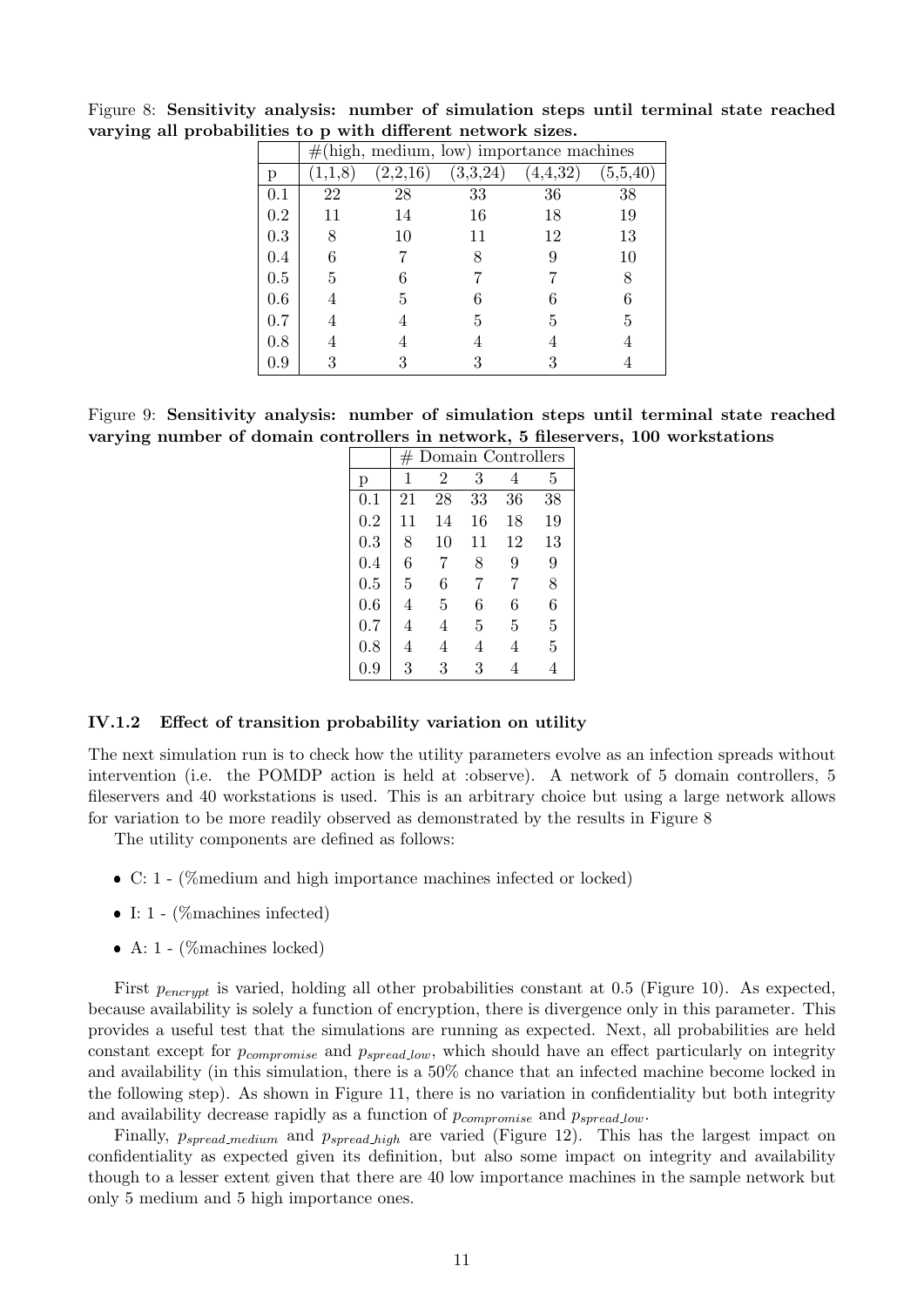|         | $#$ (high, medium, low) importance machines |          |          |        |          |
|---------|---------------------------------------------|----------|----------|--------|----------|
| р       |                                             | (2,2,16) | (3,3,24) | 4,4,32 | (5,5,40) |
| 0.1     | 22                                          | 28       | 33       | 36     | 38       |
| 0.2     | 11                                          | 14       | 16       | 18     | 19       |
| 0.3     | 8                                           | 10       | 11       | 12     | 13       |
| 0.4     | 6                                           |          | 8        | 9      | 10       |
| $0.5\,$ | 5                                           |          |          |        | 8        |
| 0.6     |                                             | 5        |          |        | 6        |
| 0.7     |                                             |          | 5        | 5      | 5        |
| 0.8     |                                             |          |          |        |          |
| 0.9     | 3                                           |          |          |        |          |

Figure 8: Sensitivity analysis: number of simulation steps until terminal state reached varying all probabilities to p with different network sizes.

Figure 9: Sensitivity analysis: number of simulation steps until terminal state reached varying number of domain controllers in network, 5 fileservers, 100 workstations

|         | $#$ Domain Controllers |                |    |    |    |
|---------|------------------------|----------------|----|----|----|
| p       | 1                      | $\overline{2}$ | 3  |    | 5  |
| 0.1     | 21                     | 28             | 33 | 36 | 38 |
| 0.2     | 11                     | 14             | 16 | 18 | 19 |
| 0.3     | 8                      | 10             | 11 | 12 | 13 |
| $0.4\,$ | 6                      | 7              | 8  | 9  | 9  |
| 0.5     | $\overline{5}$         | 6              | 7  | 7  | 8  |
| 0.6     | 4                      | 5              | 6  | 6  | 6  |
| $0.7\,$ | 4                      | 4              | 5  | 5  | 5  |
| 0.8     | 4                      | 4              | 4  |    | 5  |
| 0.9     | 3                      | 3              | 3  |    |    |

#### IV.1.2 Effect of transition probability variation on utility

The next simulation run is to check how the utility parameters evolve as an infection spreads without intervention (i.e. the POMDP action is held at :observe). A network of 5 domain controllers, 5 fileservers and 40 workstations is used. This is an arbitrary choice but using a large network allows for variation to be more readily observed as demonstrated by the results in Figure 8

The utility components are defined as follows:

- C: 1 (%medium and high importance machines infected or locked)
- I: 1 (% machines infected)
- A: 1 (% machines locked)

First  $p_{\text{encrypt}}$  is varied, holding all other probabilities constant at 0.5 (Figure 10). As expected, because availability is solely a function of encryption, there is divergence only in this parameter. This provides a useful test that the simulations are running as expected. Next, all probabilities are held constant except for  $p_{compromise}$  and  $p_{spread,low}$ , which should have an effect particularly on integrity and availability (in this simulation, there is a 50% chance that an infected machine become locked in the following step). As shown in Figure 11, there is no variation in confidentiality but both integrity and availability decrease rapidly as a function of  $p_{com promise}$  and  $p_{spread\_low}$ .

Finally,  $p_{spread\_medium}$  and  $p_{spread\_high}$  are varied (Figure 12). This has the largest impact on confidentiality as expected given its definition, but also some impact on integrity and availability though to a lesser extent given that there are 40 low importance machines in the sample network but only 5 medium and 5 high importance ones.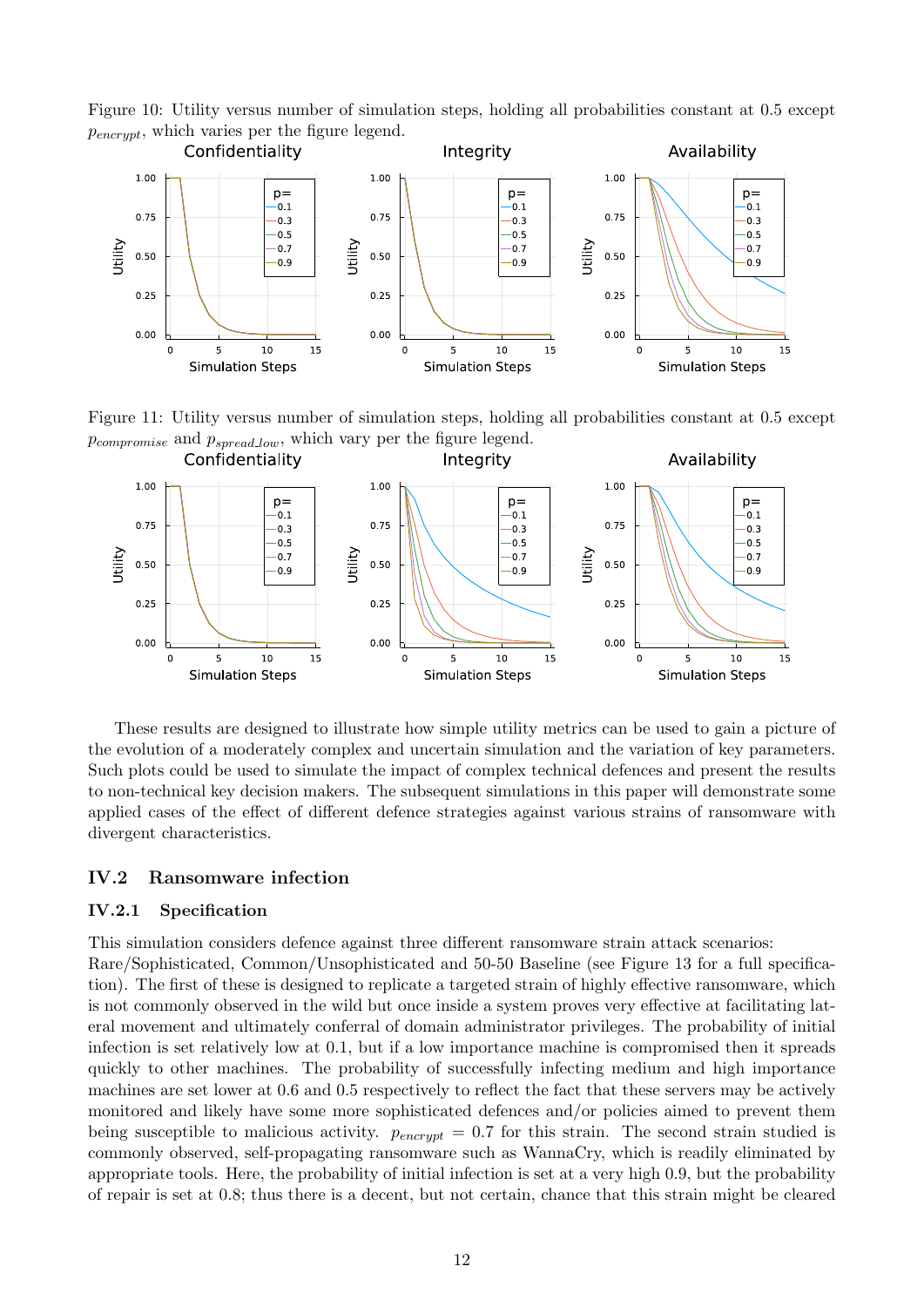Figure 10: Utility versus number of simulation steps, holding all probabilities constant at 0.5 except  $p_{\text{encrypt}}$ , which varies per the figure legend.



Figure 11: Utility versus number of simulation steps, holding all probabilities constant at 0.5 except  $p_{compromise}$  and  $p_{spread\_low}$ , which vary per the figure legend.



These results are designed to illustrate how simple utility metrics can be used to gain a picture of the evolution of a moderately complex and uncertain simulation and the variation of key parameters. Such plots could be used to simulate the impact of complex technical defences and present the results to non-technical key decision makers. The subsequent simulations in this paper will demonstrate some applied cases of the effect of different defence strategies against various strains of ransomware with divergent characteristics.

#### IV.2 Ransomware infection

#### IV.2.1 Specification

This simulation considers defence against three different ransomware strain attack scenarios: Rare/Sophisticated, Common/Unsophisticated and 50-50 Baseline (see Figure 13 for a full specification). The first of these is designed to replicate a targeted strain of highly effective ransomware, which is not commonly observed in the wild but once inside a system proves very effective at facilitating lateral movement and ultimately conferral of domain administrator privileges. The probability of initial infection is set relatively low at 0.1, but if a low importance machine is compromised then it spreads quickly to other machines. The probability of successfully infecting medium and high importance machines are set lower at 0.6 and 0.5 respectively to reflect the fact that these servers may be actively monitored and likely have some more sophisticated defences and/or policies aimed to prevent them being susceptible to malicious activity.  $p_{\text{encrypt}} = 0.7$  for this strain. The second strain studied is commonly observed, self-propagating ransomware such as WannaCry, which is readily eliminated by appropriate tools. Here, the probability of initial infection is set at a very high 0.9, but the probability of repair is set at 0.8; thus there is a decent, but not certain, chance that this strain might be cleared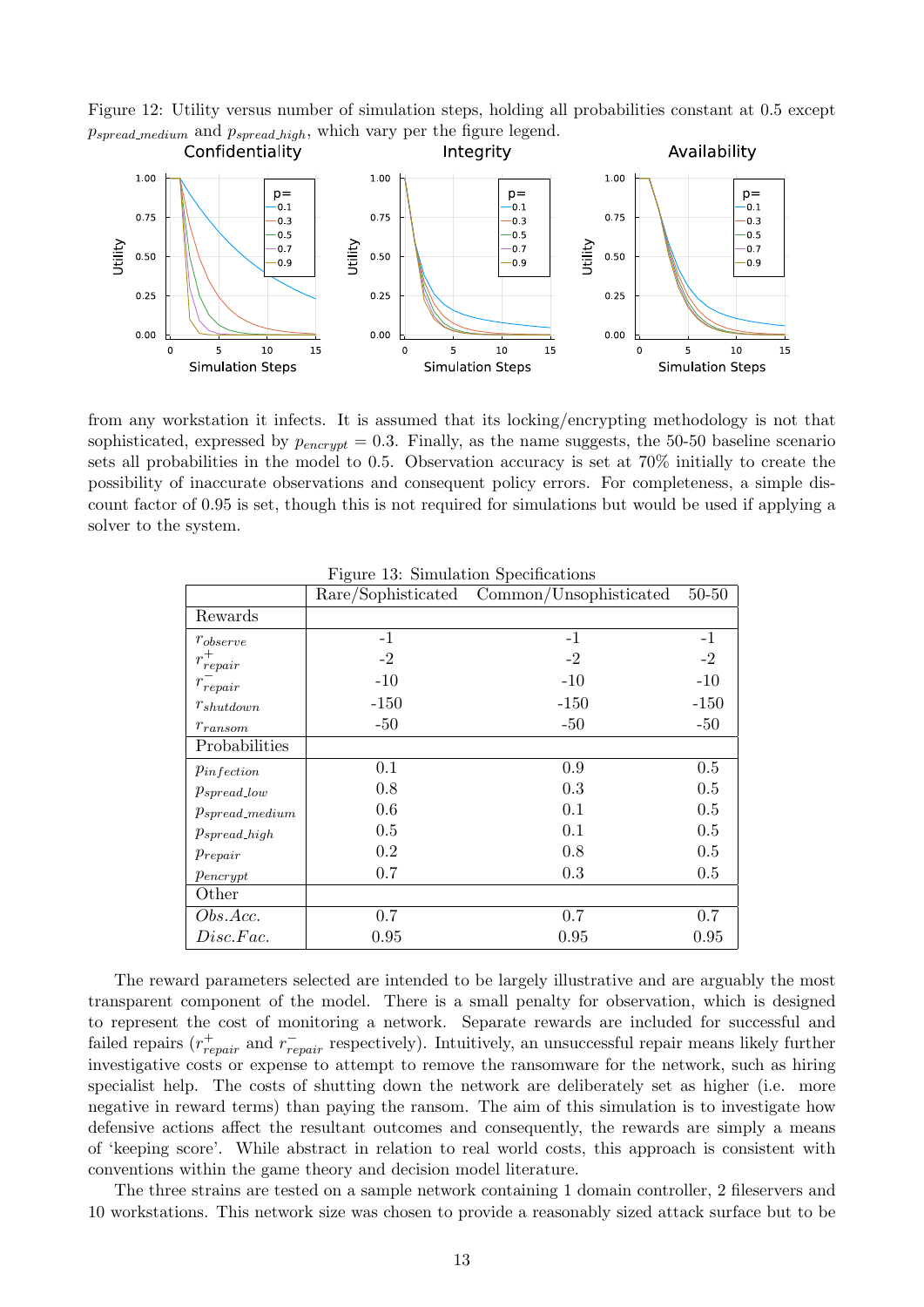



from any workstation it infects. It is assumed that its locking/encrypting methodology is not that sophisticated, expressed by  $p_{\text{encrynt}} = 0.3$ . Finally, as the name suggests, the 50-50 baseline scenario sets all probabilities in the model to 0.5. Observation accuracy is set at 70% initially to create the possibility of inaccurate observations and consequent policy errors. For completeness, a simple discount factor of 0.95 is set, though this is not required for simulations but would be used if applying a solver to the system.

|                      | т теате то. оннаталон ореентеалоно<br>Rare/Sophisticated | Common/Unsophisticated | $50 - 50$ |
|----------------------|----------------------------------------------------------|------------------------|-----------|
| Rewards              |                                                          |                        |           |
| $r_{observe}$        | $-1$                                                     | $-1$                   | $-1$      |
| $r_{repair}^+$       | $-2$                                                     | $-2$                   | $-2$      |
| $r_{\small repair}$  | $-10$                                                    | $-10$                  | $-10$     |
| $r_{shutdown}$       | $-150$                                                   | $-150$                 | $-150$    |
| $r_{ransom}$         | $-50$                                                    | $-50$                  | $-50$     |
| Probabilities        |                                                          |                        |           |
| $p_{infection}$      | 0.1                                                      | 0.9                    | $0.5\,$   |
| $p_{spread\_low}$    | 0.8                                                      | 0.3                    | 0.5       |
| $p_{spread\_medium}$ | 0.6                                                      | 0.1                    | 0.5       |
| $p_{spread\_high}$   | 0.5                                                      | 0.1                    | 0.5       |
| $p_{repair}$         | 0.2                                                      | 0.8                    | 0.5       |
| $p_{\text{encrypt}}$ | 0.7                                                      | 0.3                    | 0.5       |
| Other                |                                                          |                        |           |
| Obs.Acc.             | 0.7                                                      | 0.7                    | 0.7       |
| Disc.Fac.            | 0.95                                                     | 0.95                   | 0.95      |

Figure 13: Simulation Specifications

The reward parameters selected are intended to be largely illustrative and are arguably the most transparent component of the model. There is a small penalty for observation, which is designed to represent the cost of monitoring a network. Separate rewards are included for successful and failed repairs  $(r_{repair}^+$  and  $r_{repair}^-$  respectively). Intuitively, an unsuccessful repair means likely further investigative costs or expense to attempt to remove the ransomware for the network, such as hiring specialist help. The costs of shutting down the network are deliberately set as higher (i.e. more negative in reward terms) than paying the ransom. The aim of this simulation is to investigate how defensive actions affect the resultant outcomes and consequently, the rewards are simply a means of 'keeping score'. While abstract in relation to real world costs, this approach is consistent with conventions within the game theory and decision model literature.

The three strains are tested on a sample network containing 1 domain controller, 2 fileservers and 10 workstations. This network size was chosen to provide a reasonably sized attack surface but to be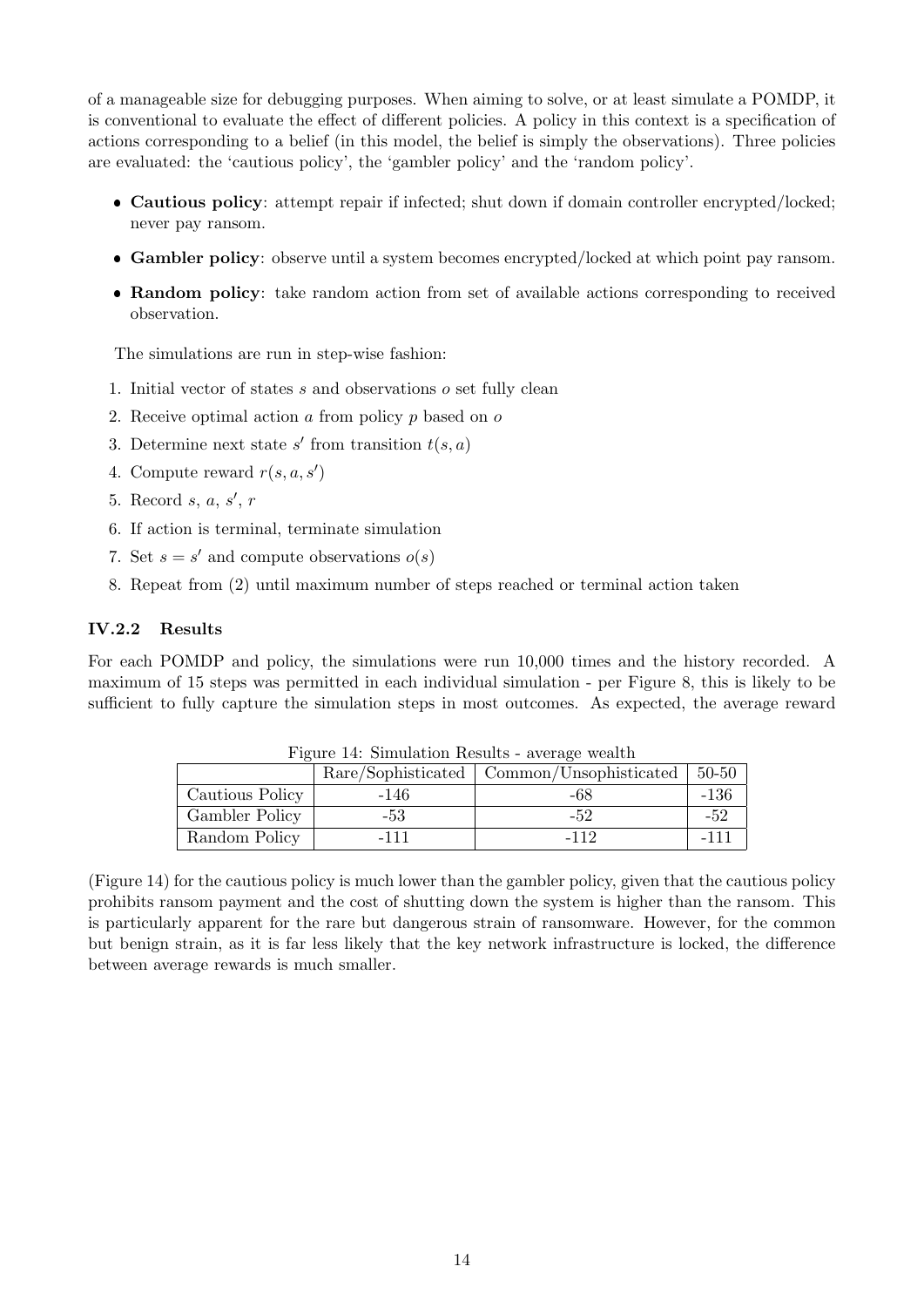of a manageable size for debugging purposes. When aiming to solve, or at least simulate a POMDP, it is conventional to evaluate the effect of different policies. A policy in this context is a specification of actions corresponding to a belief (in this model, the belief is simply the observations). Three policies are evaluated: the 'cautious policy', the 'gambler policy' and the 'random policy'.

- Cautious policy: attempt repair if infected; shut down if domain controller encrypted/locked; never pay ransom.
- Gambler policy: observe until a system becomes encrypted/locked at which point pay ransom.
- Random policy: take random action from set of available actions corresponding to received observation.

The simulations are run in step-wise fashion:

- 1. Initial vector of states  $s$  and observations  $o$  set fully clean
- 2. Receive optimal action a from policy p based on o
- 3. Determine next state  $s'$  from transition  $t(s, a)$
- 4. Compute reward  $r(s, a, s')$
- 5. Record  $s, a, s', r$
- 6. If action is terminal, terminate simulation
- 7. Set  $s = s'$  and compute observations  $o(s)$
- 8. Repeat from (2) until maximum number of steps reached or terminal action taken

#### IV.2.2 Results

For each POMDP and policy, the simulations were run 10,000 times and the history recorded. A maximum of 15 steps was permitted in each individual simulation - per Figure 8, this is likely to be sufficient to fully capture the simulation steps in most outcomes. As expected, the average reward

| 1 iguile 14. Dhinuidheidh Illistinis - average wealth |        |                                             |           |  |  |
|-------------------------------------------------------|--------|---------------------------------------------|-----------|--|--|
|                                                       |        | Rare/Sophisticated   Common/Unsophisticated | $50 - 50$ |  |  |
| Cautious Policy                                       | $-146$ | -68                                         | $-136$    |  |  |
| Gambler Policy                                        | -53    | -52                                         | -52       |  |  |
| Random Policy                                         | -111   | -112                                        | $-111$    |  |  |

Figure 14: Simulation Results - average wealth

(Figure 14) for the cautious policy is much lower than the gambler policy, given that the cautious policy prohibits ransom payment and the cost of shutting down the system is higher than the ransom. This is particularly apparent for the rare but dangerous strain of ransomware. However, for the common but benign strain, as it is far less likely that the key network infrastructure is locked, the difference between average rewards is much smaller.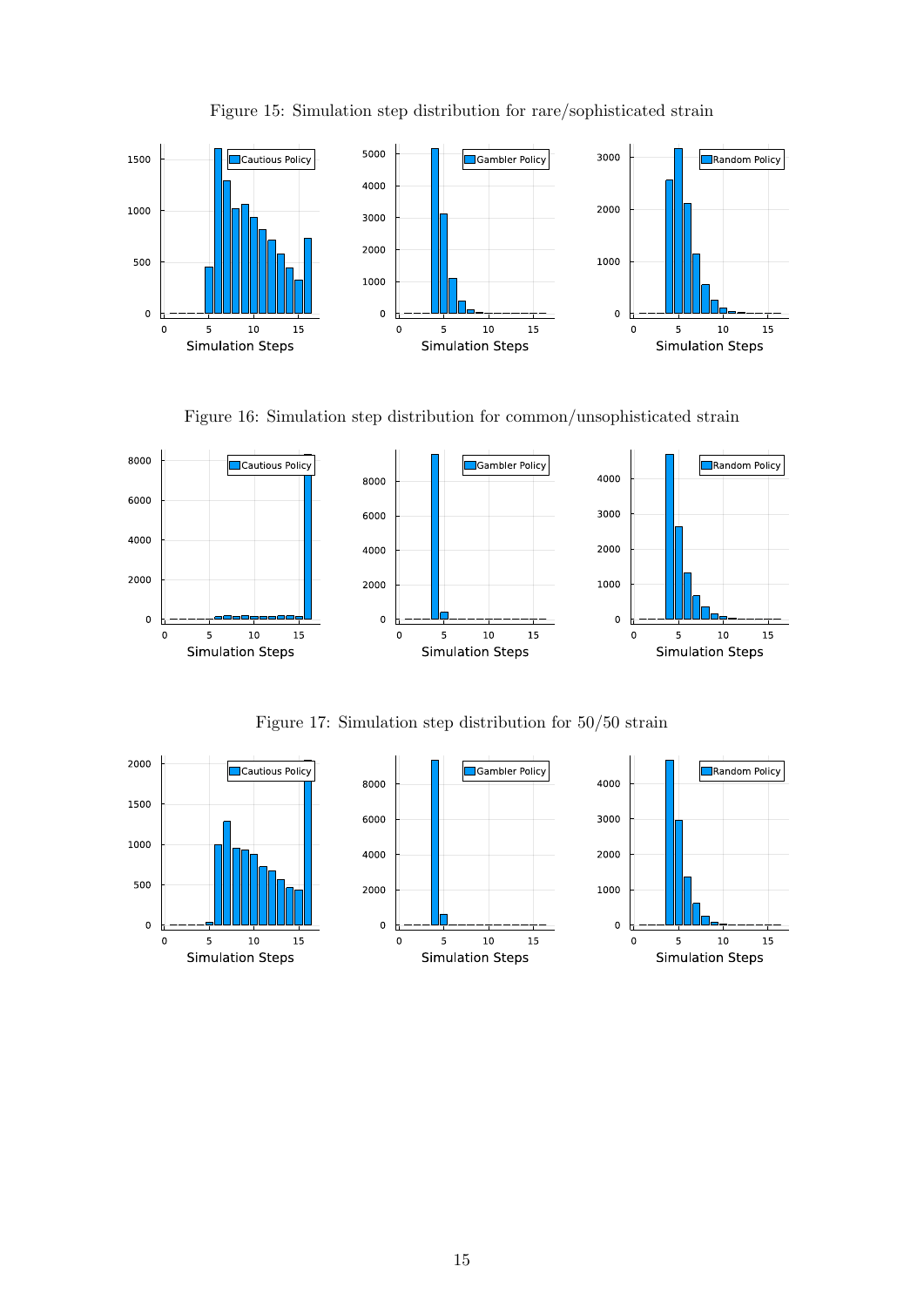

Figure 15: Simulation step distribution for rare/sophisticated strain

Figure 16: Simulation step distribution for common/unsophisticated strain



Figure 17: Simulation step distribution for 50/50 strain

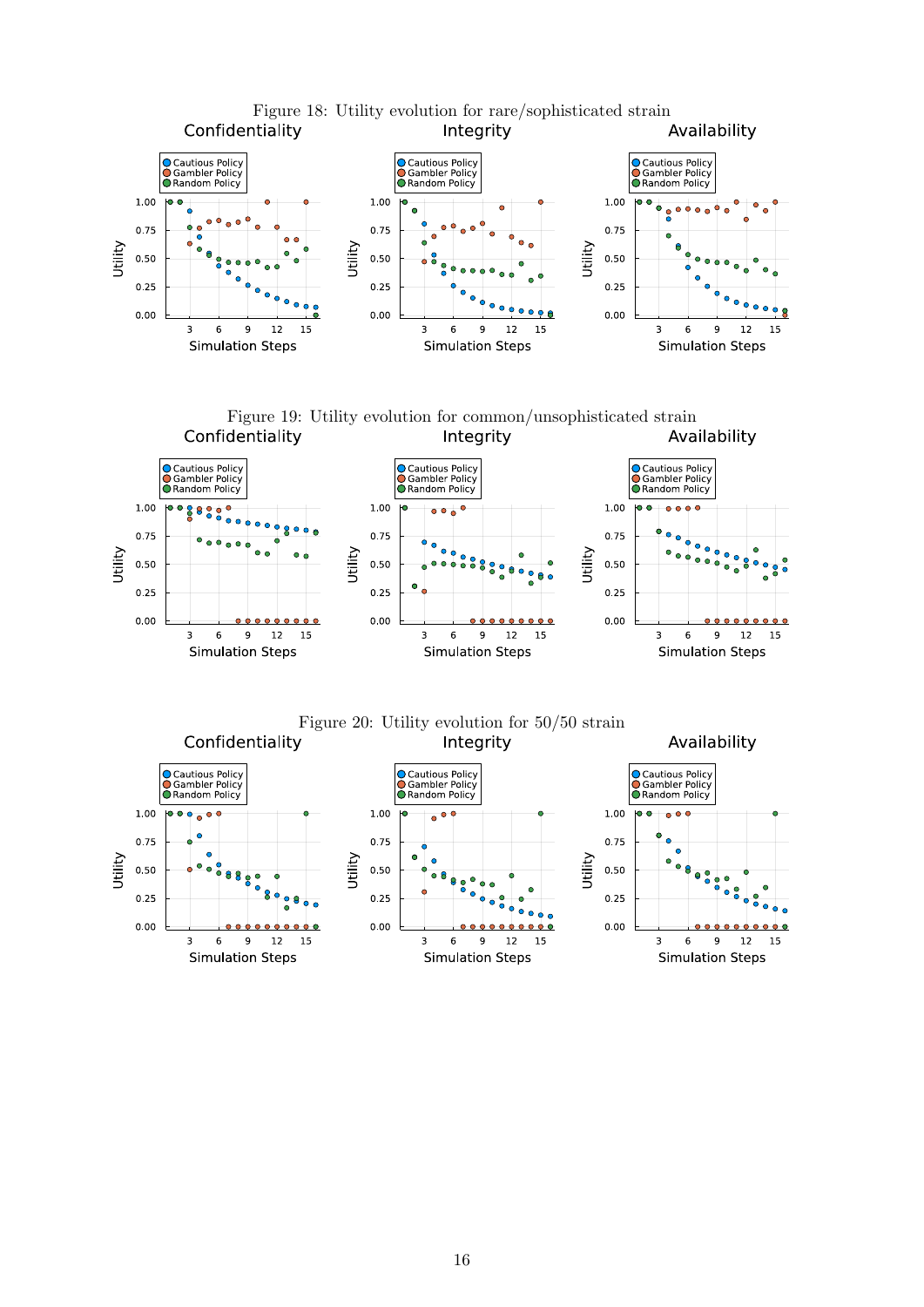

Figure 19: Utility evolution for common/unsophisticated strain Confidentiality Integrity



Figure 20: Utility evolution for 50/50 strain Integrity

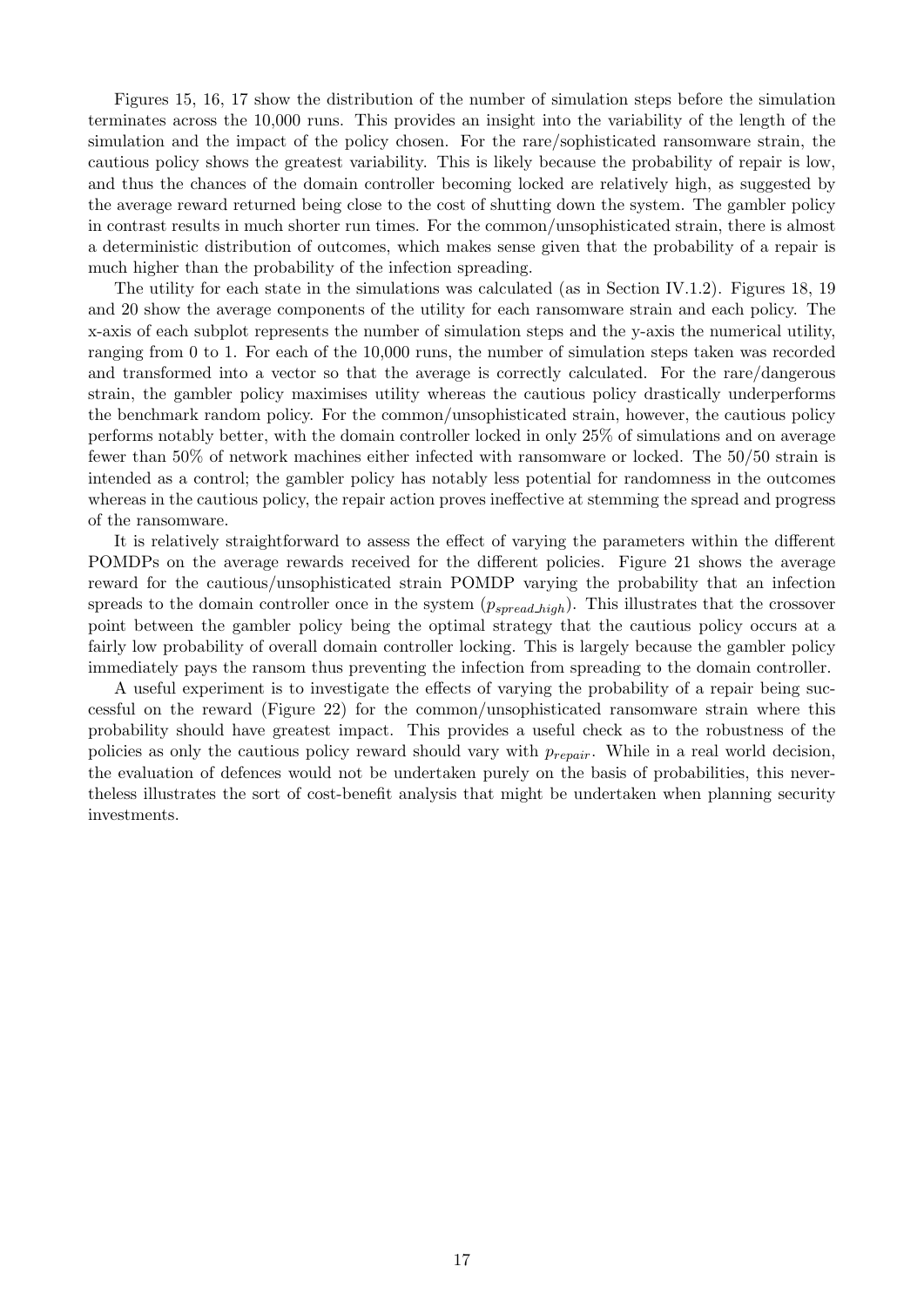Figures 15, 16, 17 show the distribution of the number of simulation steps before the simulation terminates across the 10,000 runs. This provides an insight into the variability of the length of the simulation and the impact of the policy chosen. For the rare/sophisticated ransomware strain, the cautious policy shows the greatest variability. This is likely because the probability of repair is low, and thus the chances of the domain controller becoming locked are relatively high, as suggested by the average reward returned being close to the cost of shutting down the system. The gambler policy in contrast results in much shorter run times. For the common/unsophisticated strain, there is almost a deterministic distribution of outcomes, which makes sense given that the probability of a repair is much higher than the probability of the infection spreading.

The utility for each state in the simulations was calculated (as in Section IV.1.2). Figures 18, 19 and 20 show the average components of the utility for each ransomware strain and each policy. The x-axis of each subplot represents the number of simulation steps and the y-axis the numerical utility, ranging from 0 to 1. For each of the 10,000 runs, the number of simulation steps taken was recorded and transformed into a vector so that the average is correctly calculated. For the rare/dangerous strain, the gambler policy maximises utility whereas the cautious policy drastically underperforms the benchmark random policy. For the common/unsophisticated strain, however, the cautious policy performs notably better, with the domain controller locked in only 25% of simulations and on average fewer than 50% of network machines either infected with ransomware or locked. The 50/50 strain is intended as a control; the gambler policy has notably less potential for randomness in the outcomes whereas in the cautious policy, the repair action proves ineffective at stemming the spread and progress of the ransomware.

It is relatively straightforward to assess the effect of varying the parameters within the different POMDPs on the average rewards received for the different policies. Figure 21 shows the average reward for the cautious/unsophisticated strain POMDP varying the probability that an infection spreads to the domain controller once in the system  $(p_{spread, high})$ . This illustrates that the crossover point between the gambler policy being the optimal strategy that the cautious policy occurs at a fairly low probability of overall domain controller locking. This is largely because the gambler policy immediately pays the ransom thus preventing the infection from spreading to the domain controller.

A useful experiment is to investigate the effects of varying the probability of a repair being successful on the reward (Figure 22) for the common/unsophisticated ransomware strain where this probability should have greatest impact. This provides a useful check as to the robustness of the policies as only the cautious policy reward should vary with  $p_{repair}$ . While in a real world decision, the evaluation of defences would not be undertaken purely on the basis of probabilities, this nevertheless illustrates the sort of cost-benefit analysis that might be undertaken when planning security investments.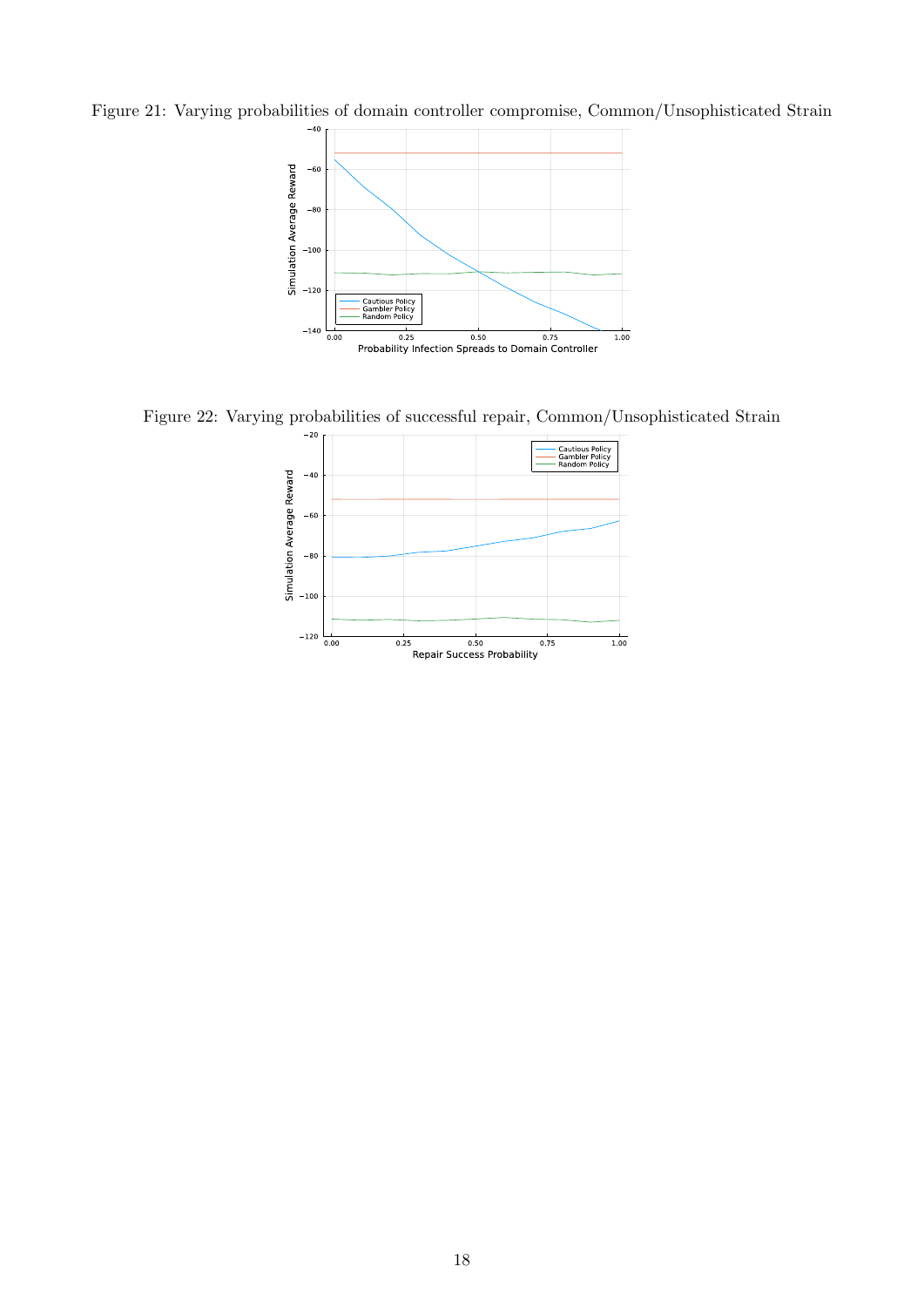Figure 21: Varying probabilities of domain controller compromise, Common/Unsophisticated Strain



Figure 22: Varying probabilities of successful repair, Common/Unsophisticated Strain

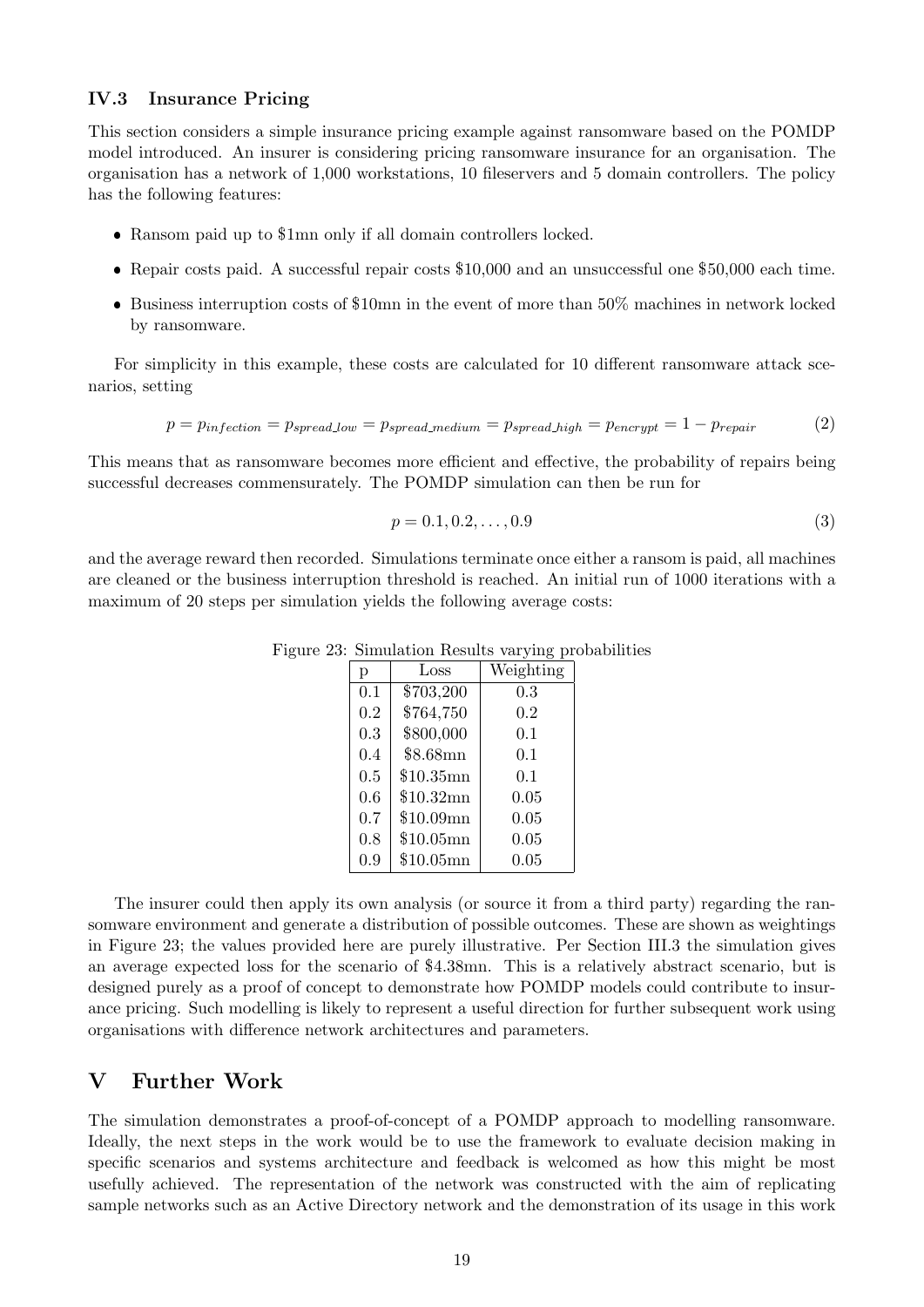#### IV.3 Insurance Pricing

This section considers a simple insurance pricing example against ransomware based on the POMDP model introduced. An insurer is considering pricing ransomware insurance for an organisation. The organisation has a network of 1,000 workstations, 10 fileservers and 5 domain controllers. The policy has the following features:

- Ransom paid up to \$1mn only if all domain controllers locked.
- Repair costs paid. A successful repair costs \$10,000 and an unsuccessful one \$50,000 each time.
- Business interruption costs of \$10mn in the event of more than 50% machines in network locked by ransomware.

For simplicity in this example, these costs are calculated for 10 different ransomware attack scenarios, setting

$$
p = p_{infection} = p_{spread\_low} = p_{spread\_medium} = p_{spread\_high} = p_{encrypt} = 1 - p_{repair}
$$
 (2)

This means that as ransomware becomes more efficient and effective, the probability of repairs being successful decreases commensurately. The POMDP simulation can then be run for

$$
p = 0.1, 0.2, \dots, 0.9 \tag{3}
$$

and the average reward then recorded. Simulations terminate once either a ransom is paid, all machines are cleaned or the business interruption threshold is reached. An initial run of 1000 iterations with a maximum of 20 steps per simulation yields the following average costs:

| p   | Loss        | Weighting |
|-----|-------------|-----------|
| 0.1 | \$703,200   | 0.3       |
| 0.2 | \$764,750   | 0.2       |
| 0.3 | \$800,000   | 0.1       |
| 0.4 | $$8.68$ mn  | 0.1       |
| 0.5 | $$10.35$ mn | 0.1       |
| 0.6 | \$10.32mn   | 0.05      |
| 0.7 | \$10.09mn   | 0.05      |
| 0.8 | \$10.05mn   | 0.05      |
| 0.9 | \$10.05mn   | 0.05      |

Figure 23: Simulation Results varying probabilities

The insurer could then apply its own analysis (or source it from a third party) regarding the ransomware environment and generate a distribution of possible outcomes. These are shown as weightings in Figure 23; the values provided here are purely illustrative. Per Section III.3 the simulation gives an average expected loss for the scenario of \$4.38mn. This is a relatively abstract scenario, but is designed purely as a proof of concept to demonstrate how POMDP models could contribute to insurance pricing. Such modelling is likely to represent a useful direction for further subsequent work using organisations with difference network architectures and parameters.

### V Further Work

The simulation demonstrates a proof-of-concept of a POMDP approach to modelling ransomware. Ideally, the next steps in the work would be to use the framework to evaluate decision making in specific scenarios and systems architecture and feedback is welcomed as how this might be most usefully achieved. The representation of the network was constructed with the aim of replicating sample networks such as an Active Directory network and the demonstration of its usage in this work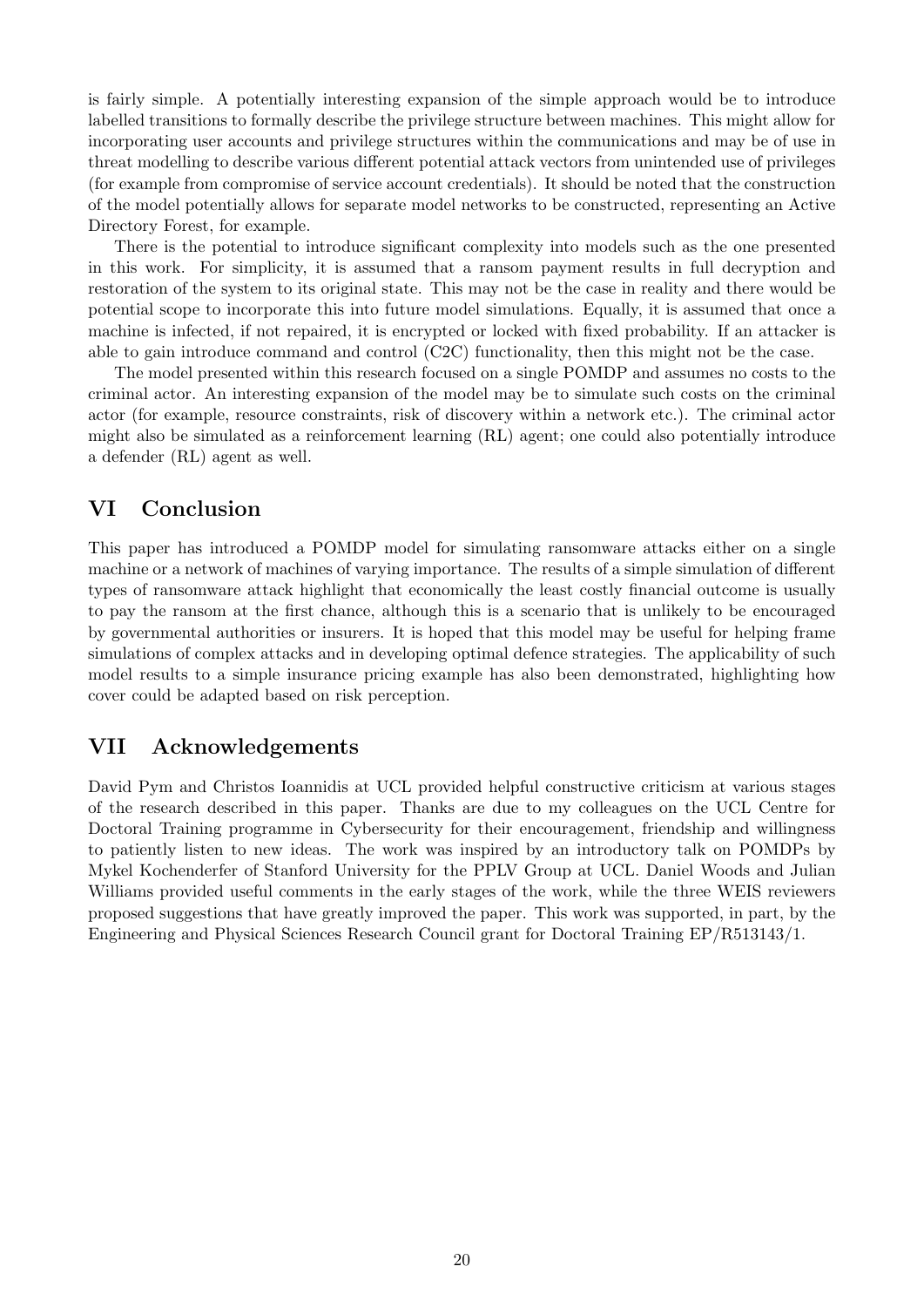is fairly simple. A potentially interesting expansion of the simple approach would be to introduce labelled transitions to formally describe the privilege structure between machines. This might allow for incorporating user accounts and privilege structures within the communications and may be of use in threat modelling to describe various different potential attack vectors from unintended use of privileges (for example from compromise of service account credentials). It should be noted that the construction of the model potentially allows for separate model networks to be constructed, representing an Active Directory Forest, for example.

There is the potential to introduce significant complexity into models such as the one presented in this work. For simplicity, it is assumed that a ransom payment results in full decryption and restoration of the system to its original state. This may not be the case in reality and there would be potential scope to incorporate this into future model simulations. Equally, it is assumed that once a machine is infected, if not repaired, it is encrypted or locked with fixed probability. If an attacker is able to gain introduce command and control (C2C) functionality, then this might not be the case.

The model presented within this research focused on a single POMDP and assumes no costs to the criminal actor. An interesting expansion of the model may be to simulate such costs on the criminal actor (for example, resource constraints, risk of discovery within a network etc.). The criminal actor might also be simulated as a reinforcement learning (RL) agent; one could also potentially introduce a defender (RL) agent as well.

## VI Conclusion

This paper has introduced a POMDP model for simulating ransomware attacks either on a single machine or a network of machines of varying importance. The results of a simple simulation of different types of ransomware attack highlight that economically the least costly financial outcome is usually to pay the ransom at the first chance, although this is a scenario that is unlikely to be encouraged by governmental authorities or insurers. It is hoped that this model may be useful for helping frame simulations of complex attacks and in developing optimal defence strategies. The applicability of such model results to a simple insurance pricing example has also been demonstrated, highlighting how cover could be adapted based on risk perception.

## VII Acknowledgements

David Pym and Christos Ioannidis at UCL provided helpful constructive criticism at various stages of the research described in this paper. Thanks are due to my colleagues on the UCL Centre for Doctoral Training programme in Cybersecurity for their encouragement, friendship and willingness to patiently listen to new ideas. The work was inspired by an introductory talk on POMDPs by Mykel Kochenderfer of Stanford University for the PPLV Group at UCL. Daniel Woods and Julian Williams provided useful comments in the early stages of the work, while the three WEIS reviewers proposed suggestions that have greatly improved the paper. This work was supported, in part, by the Engineering and Physical Sciences Research Council grant for Doctoral Training EP/R513143/1.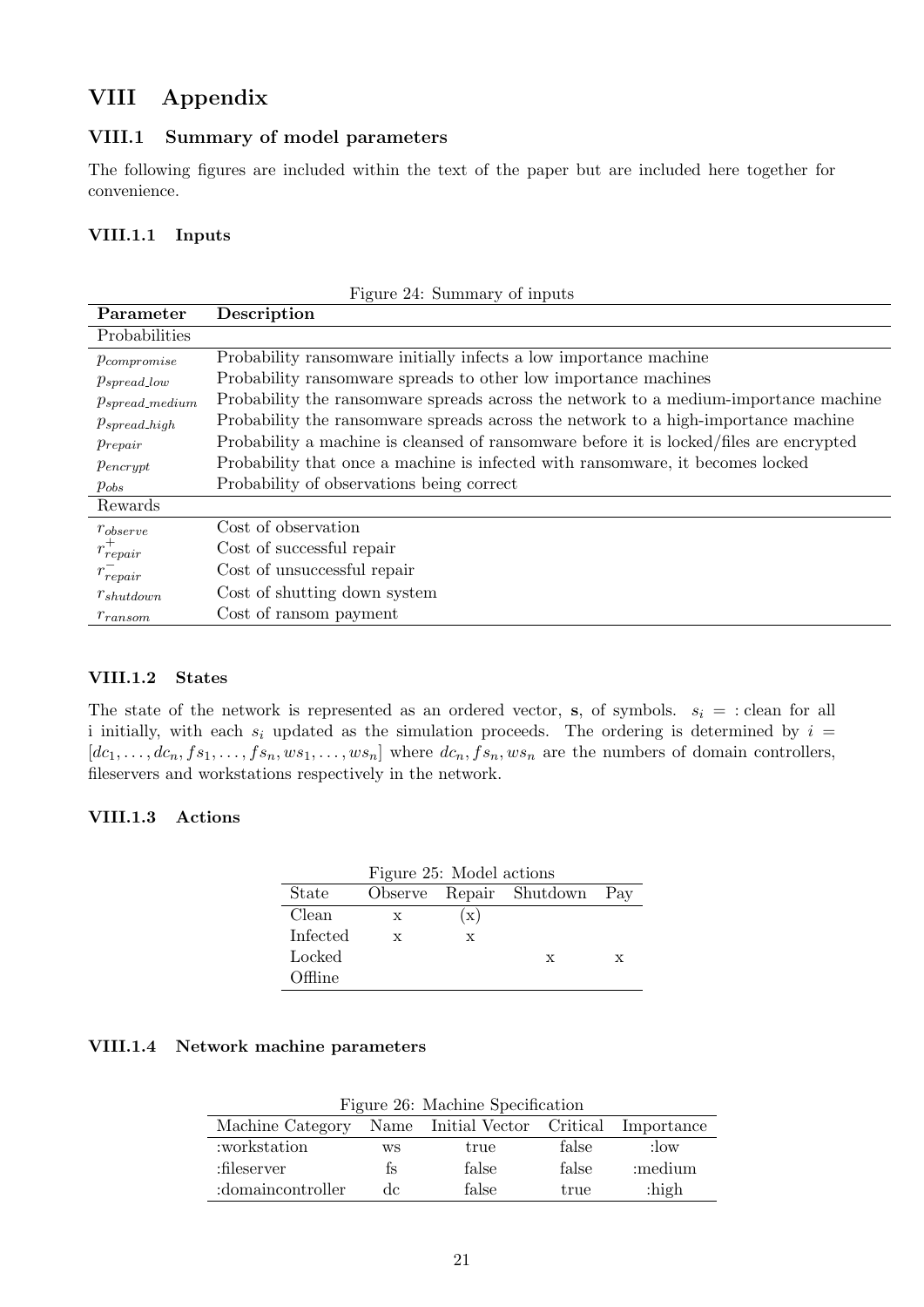# VIII Appendix

### VIII.1 Summary of model parameters

The following figures are included within the text of the paper but are included here together for convenience.

### VIII.1.1 Inputs

| Figure 24: Summary of inputs |                                                                                         |  |  |  |  |
|------------------------------|-----------------------------------------------------------------------------------------|--|--|--|--|
| Parameter                    | Description                                                                             |  |  |  |  |
| Probabilities                |                                                                                         |  |  |  |  |
| $p_{compromise}$             | Probability ransomware initially infects a low importance machine                       |  |  |  |  |
| $p_{spread\_low}$            | Probability ransomware spreads to other low importance machines                         |  |  |  |  |
| $p_{spread\_medium}$         | Probability the ransomware spreads across the network to a medium-importance machine    |  |  |  |  |
| $p_{spread\_high}$           | Probability the ransomware spreads across the network to a high-importance machine      |  |  |  |  |
| $p_{repair}$                 | Probability a machine is cleansed of ransomware before it is locked/files are encrypted |  |  |  |  |
| $p_{\text{encrypt}}$         | Probability that once a machine is infected with ransomware, it becomes locked          |  |  |  |  |
| $p_{obs}$                    | Probability of observations being correct                                               |  |  |  |  |
| Rewards                      |                                                                                         |  |  |  |  |
| $r_{observe}$                | Cost of observation                                                                     |  |  |  |  |
| $r_{repair}^+$               | Cost of successful repair                                                               |  |  |  |  |
| $r_{repair}$                 | Cost of unsuccessful repair                                                             |  |  |  |  |
| $r_{shutdown}$               | Cost of shutting down system                                                            |  |  |  |  |
| $r_{ransom}$                 | Cost of ransom payment                                                                  |  |  |  |  |

### VIII.1.2 States

The state of the network is represented as an ordered vector, s, of symbols.  $s_i = :$  clean for all i initially, with each  $s_i$  updated as the simulation proceeds. The ordering is determined by  $i =$  $[dc_1, \ldots, dc_n, fs_1, \ldots, fs_n, ws_1, \ldots, ws_n]$  where  $dc_n, fs_n, ws_n$  are the numbers of domain controllers, fileservers and workstations respectively in the network.

### VIII.1.3 Actions

| Figure 25: Model actions |   |                |                             |   |  |  |  |
|--------------------------|---|----------------|-----------------------------|---|--|--|--|
| State                    |   |                | Observe Repair Shutdown Pay |   |  |  |  |
| Clean                    | X | $(\mathrm{x})$ |                             |   |  |  |  |
| Infected                 | X | x              |                             |   |  |  |  |
| Locked                   |   |                | x                           | X |  |  |  |
| $\Omega$ $\text{Time}$   |   |                |                             |   |  |  |  |

### VIII.1.4 Network machine parameters

|  |  | Figure 26: Machine Specification |
|--|--|----------------------------------|
|--|--|----------------------------------|

| Machine Category Name Initial Vector Critical Importance |     |       |       |          |
|----------------------------------------------------------|-----|-------|-------|----------|
| :workstation                                             | WS  | true  | false | $:$ low  |
| :fileserver                                              | ts  | false | false | :medium  |
| :domaincontroller                                        | de. | false | true  | $:$ high |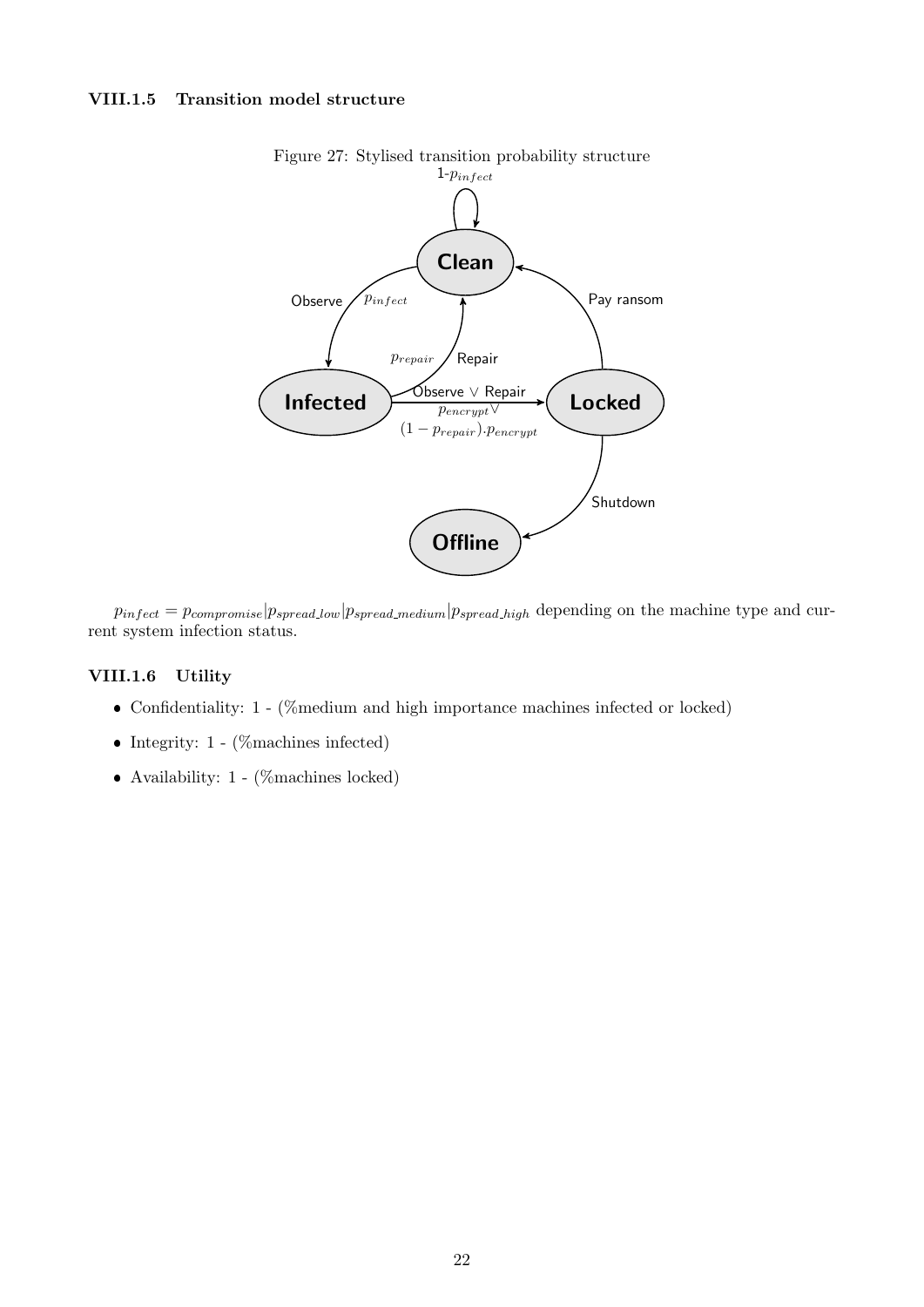### VIII.1.5 Transition model structure



Figure 27: Stylised transition probability structure

 $p_{infect} = p_{compromise} | p_{spread\_low} | p_{spread\_medium} | p_{spread\_high}$  depending on the machine type and current system infection status.

#### VIII.1.6 Utility

- Confidentiality: 1 (%medium and high importance machines infected or locked)
- Integrity:  $1 (\%$ machines infected)
- Availability:  $1 (\%$ machines locked)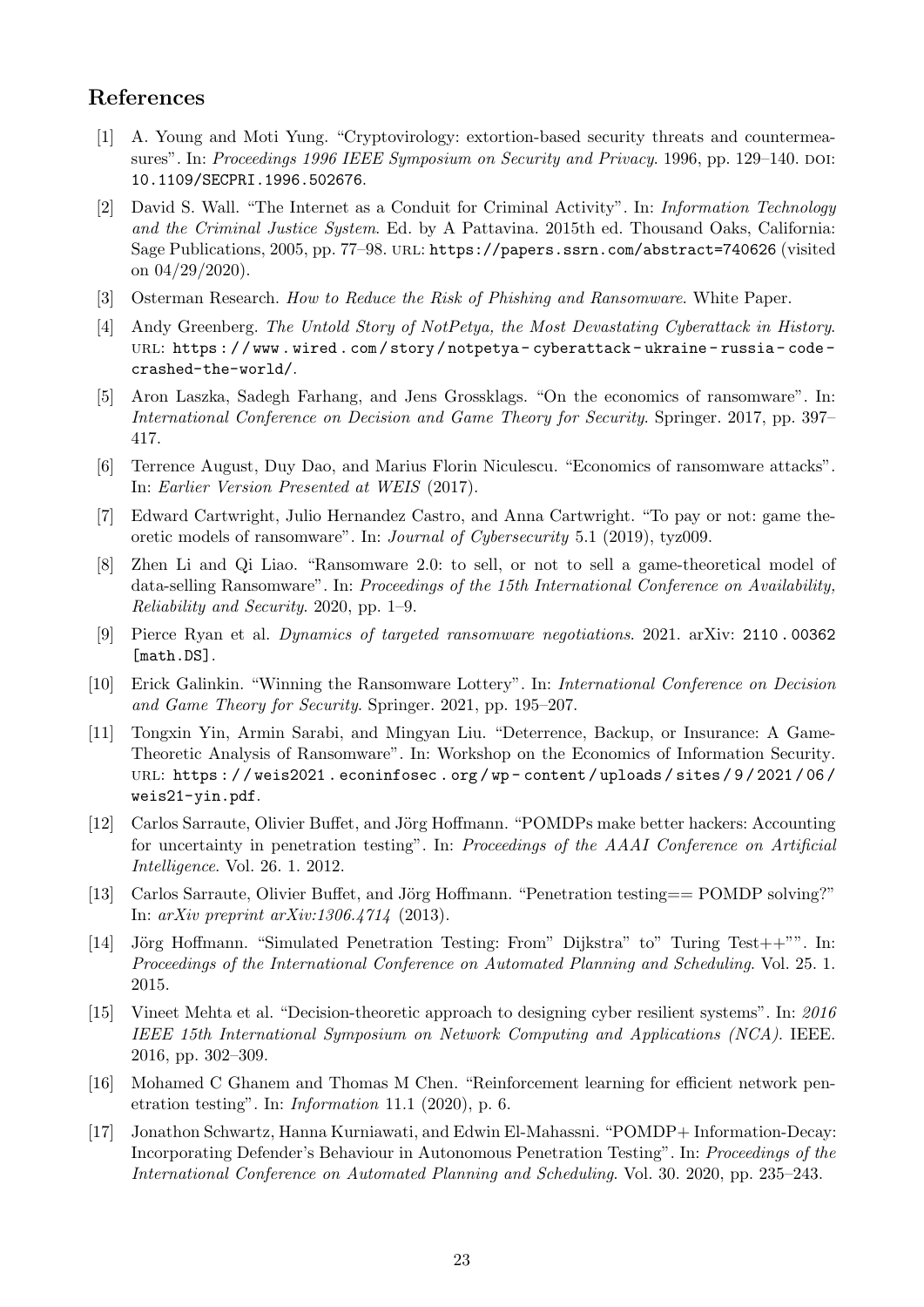## References

- [1] A. Young and Moti Yung. "Cryptovirology: extortion-based security threats and countermeasures". In: Proceedings 1996 IEEE Symposium on Security and Privacy. 1996, pp. 129–140. DOI: 10.1109/SECPRI.1996.502676.
- [2] David S. Wall. "The Internet as a Conduit for Criminal Activity". In: Information Technology and the Criminal Justice System. Ed. by A Pattavina. 2015th ed. Thousand Oaks, California: Sage Publications, 2005, pp. 77–98. url: https://papers.ssrn.com/abstract=740626 (visited on 04/29/2020).
- [3] Osterman Research. How to Reduce the Risk of Phishing and Ransomware. White Paper.
- [4] Andy Greenberg. The Untold Story of NotPetya, the Most Devastating Cyberattack in History. url: https : / / www . wired . com / story / notpetya - cyberattack - ukraine - russia - code crashed-the-world/.
- [5] Aron Laszka, Sadegh Farhang, and Jens Grossklags. "On the economics of ransomware". In: International Conference on Decision and Game Theory for Security. Springer. 2017, pp. 397– 417.
- [6] Terrence August, Duy Dao, and Marius Florin Niculescu. "Economics of ransomware attacks". In: Earlier Version Presented at WEIS (2017).
- [7] Edward Cartwright, Julio Hernandez Castro, and Anna Cartwright. "To pay or not: game theoretic models of ransomware". In: Journal of Cybersecurity 5.1 (2019), tyz009.
- [8] Zhen Li and Qi Liao. "Ransomware 2.0: to sell, or not to sell a game-theoretical model of data-selling Ransomware". In: Proceedings of the 15th International Conference on Availability, Reliability and Security. 2020, pp. 1–9.
- [9] Pierce Ryan et al. Dynamics of targeted ransomware negotiations. 2021. arXiv: 2110 . 00362 [math.DS].
- [10] Erick Galinkin. "Winning the Ransomware Lottery". In: International Conference on Decision and Game Theory for Security. Springer. 2021, pp. 195–207.
- [11] Tongxin Yin, Armin Sarabi, and Mingyan Liu. "Deterrence, Backup, or Insurance: A Game-Theoretic Analysis of Ransomware". In: Workshop on the Economics of Information Security. url: https : / / weis2021 . econinfosec . org / wp - content / uploads / sites / 9 / 2021 / 06 / weis21-yin.pdf.
- [12] Carlos Sarraute, Olivier Buffet, and Jörg Hoffmann. "POMDPs make better hackers: Accounting for uncertainty in penetration testing". In: Proceedings of the AAAI Conference on Artificial Intelligence. Vol. 26. 1. 2012.
- [13] Carlos Sarraute, Olivier Buffet, and Jörg Hoffmann. "Penetration testing== POMDP solving?" In: arXiv preprint arXiv:1306.4714 (2013).
- [14] Jörg Hoffmann. "Simulated Penetration Testing: From" Dijkstra" to" Turing Test++"". In: Proceedings of the International Conference on Automated Planning and Scheduling. Vol. 25. 1. 2015.
- [15] Vineet Mehta et al. "Decision-theoretic approach to designing cyber resilient systems". In: 2016 IEEE 15th International Symposium on Network Computing and Applications (NCA). IEEE. 2016, pp. 302–309.
- [16] Mohamed C Ghanem and Thomas M Chen. "Reinforcement learning for efficient network penetration testing". In: Information 11.1 (2020), p. 6.
- [17] Jonathon Schwartz, Hanna Kurniawati, and Edwin El-Mahassni. "POMDP+ Information-Decay: Incorporating Defender's Behaviour in Autonomous Penetration Testing". In: Proceedings of the International Conference on Automated Planning and Scheduling. Vol. 30. 2020, pp. 235–243.